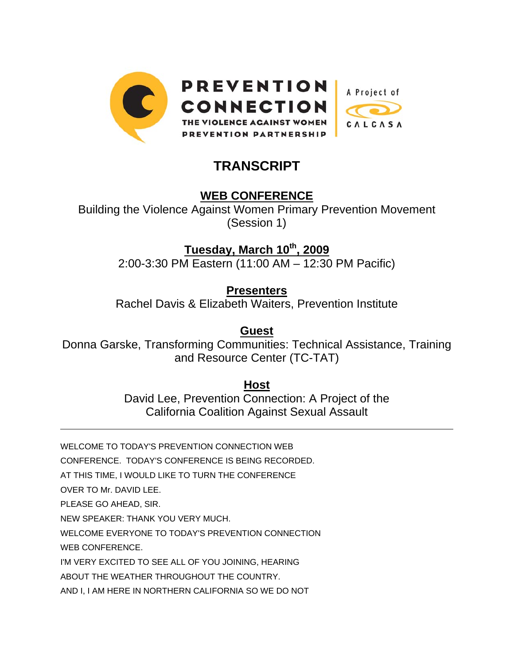

# **TRANSCRIPT**

## **WEB CONFERENCE**

Building the Violence Against Women Primary Prevention Movement (Session 1)

**Tuesday, March 10th, 2009**

2:00-3:30 PM Eastern (11:00 AM – 12:30 PM Pacific)

**Presenters**

Rachel Davis & Elizabeth Waiters, Prevention Institute

**Guest**

Donna Garske, Transforming Communities: Technical Assistance, Training and Resource Center (TC-TAT)

**Host**

David Lee, Prevention Connection: A Project of the California Coalition Against Sexual Assault

WELCOME TO TODAY'S PREVENTION CONNECTION WEB

CONFERENCE. TODAY'S CONFERENCE IS BEING RECORDED.

AT THIS TIME, I WOULD LIKE TO TURN THE CONFERENCE

OVER TO Mr. DAVID LEE.

l

PLEASE GO AHEAD, SIR.

NEW SPEAKER: THANK YOU VERY MUCH.

WELCOME EVERYONE TO TODAY'S PREVENTION CONNECTION

WEB CONFERENCE.

I'M VERY EXCITED TO SEE ALL OF YOU JOINING, HEARING

ABOUT THE WEATHER THROUGHOUT THE COUNTRY.

AND I, I AM HERE IN NORTHERN CALIFORNIA SO WE DO NOT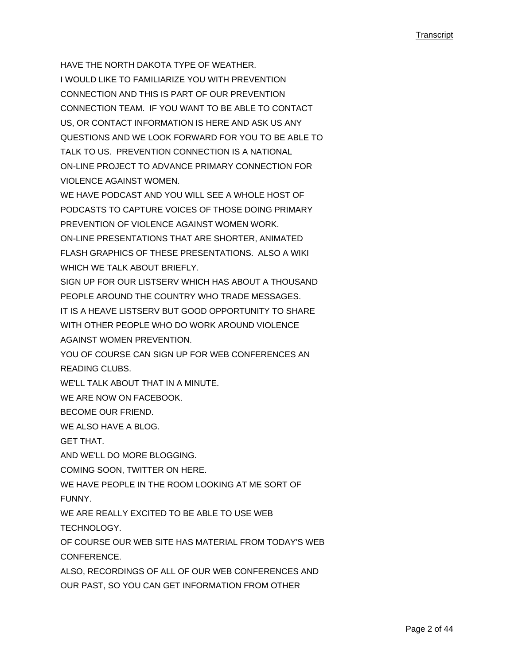HAVE THE NORTH DAKOTA TYPE OF WEATHER. I WOULD LIKE TO FAMILIARIZE YOU WITH PREVENTION CONNECTION AND THIS IS PART OF OUR PREVENTION CONNECTION TEAM. IF YOU WANT TO BE ABLE TO CONTACT US, OR CONTACT INFORMATION IS HERE AND ASK US ANY QUESTIONS AND WE LOOK FORWARD FOR YOU TO BE ABLE TO TALK TO US. PREVENTION CONNECTION IS A NATIONAL ON-LINE PROJECT TO ADVANCE PRIMARY CONNECTION FOR VIOLENCE AGAINST WOMEN.

WE HAVE PODCAST AND YOU WILL SEE A WHOLE HOST OF PODCASTS TO CAPTURE VOICES OF THOSE DOING PRIMARY PREVENTION OF VIOLENCE AGAINST WOMEN WORK. ON-LINE PRESENTATIONS THAT ARE SHORTER, ANIMATED

FLASH GRAPHICS OF THESE PRESENTATIONS. ALSO A WIKI WHICH WE TALK ABOUT BRIEFLY.

SIGN UP FOR OUR LISTSERV WHICH HAS ABOUT A THOUSAND PEOPLE AROUND THE COUNTRY WHO TRADE MESSAGES. IT IS A HEAVE LISTSERV BUT GOOD OPPORTUNITY TO SHARE WITH OTHER PEOPLE WHO DO WORK AROUND VIOLENCE AGAINST WOMEN PREVENTION.

YOU OF COURSE CAN SIGN UP FOR WEB CONFERENCES AN READING CLUBS.

WE'LL TALK ABOUT THAT IN A MINUTE.

WE ARE NOW ON FACEBOOK.

BECOME OUR FRIEND.

WE ALSO HAVE A BLOG.

GET THAT.

AND WE'LL DO MORE BLOGGING.

COMING SOON, TWITTER ON HERE.

WE HAVE PEOPLE IN THE ROOM LOOKING AT ME SORT OF

**FUNNY** 

WE ARE REALLY EXCITED TO BE ABLE TO USE WEB

TECHNOLOGY.

OF COURSE OUR WEB SITE HAS MATERIAL FROM TODAY'S WEB CONFERENCE.

ALSO, RECORDINGS OF ALL OF OUR WEB CONFERENCES AND

OUR PAST, SO YOU CAN GET INFORMATION FROM OTHER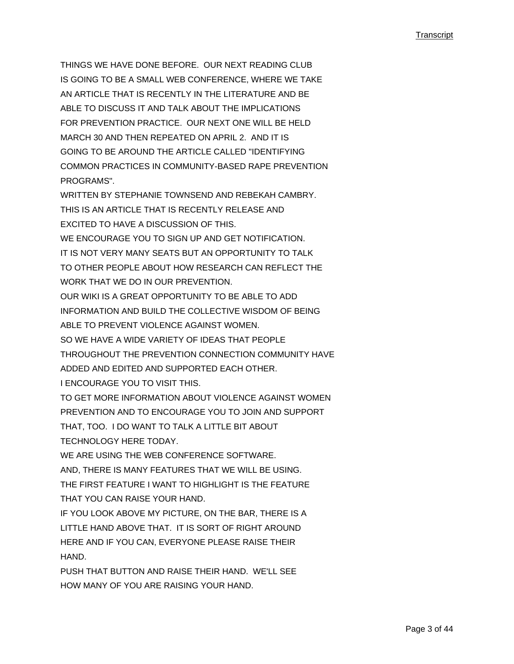THINGS WE HAVE DONE BEFORE. OUR NEXT READING CLUB IS GOING TO BE A SMALL WEB CONFERENCE, WHERE WE TAKE AN ARTICLE THAT IS RECENTLY IN THE LITERATURE AND BE ABLE TO DISCUSS IT AND TALK ABOUT THE IMPLICATIONS FOR PREVENTION PRACTICE. OUR NEXT ONE WILL BE HELD MARCH 30 AND THEN REPEATED ON APRIL 2. AND IT IS GOING TO BE AROUND THE ARTICLE CALLED "IDENTIFYING COMMON PRACTICES IN COMMUNITY-BASED RAPE PREVENTION PROGRAMS".

WRITTEN BY STEPHANIE TOWNSEND AND REBEKAH CAMBRY. THIS IS AN ARTICLE THAT IS RECENTLY RELEASE AND EXCITED TO HAVE A DISCUSSION OF THIS.

WE ENCOURAGE YOU TO SIGN UP AND GET NOTIFICATION.

IT IS NOT VERY MANY SEATS BUT AN OPPORTUNITY TO TALK

TO OTHER PEOPLE ABOUT HOW RESEARCH CAN REFLECT THE WORK THAT WE DO IN OUR PREVENTION.

OUR WIKI IS A GREAT OPPORTUNITY TO BE ABLE TO ADD

INFORMATION AND BUILD THE COLLECTIVE WISDOM OF BEING ABLE TO PREVENT VIOLENCE AGAINST WOMEN.

SO WE HAVE A WIDE VARIETY OF IDEAS THAT PEOPLE

THROUGHOUT THE PREVENTION CONNECTION COMMUNITY HAVE ADDED AND EDITED AND SUPPORTED EACH OTHER.

I ENCOURAGE YOU TO VISIT THIS.

TO GET MORE INFORMATION ABOUT VIOLENCE AGAINST WOMEN PREVENTION AND TO ENCOURAGE YOU TO JOIN AND SUPPORT THAT, TOO. I DO WANT TO TALK A LITTLE BIT ABOUT

TECHNOLOGY HERE TODAY.

WE ARE USING THE WEB CONFERENCE SOFTWARE.

AND, THERE IS MANY FEATURES THAT WE WILL BE USING. THE FIRST FEATURE I WANT TO HIGHLIGHT IS THE FEATURE THAT YOU CAN RAISE YOUR HAND.

IF YOU LOOK ABOVE MY PICTURE, ON THE BAR, THERE IS A LITTLE HAND ABOVE THAT. IT IS SORT OF RIGHT AROUND. HERE AND IF YOU CAN, EVERYONE PLEASE RAISE THEIR HAND.

PUSH THAT BUTTON AND RAISE THEIR HAND. WE'LL SEE HOW MANY OF YOU ARE RAISING YOUR HAND.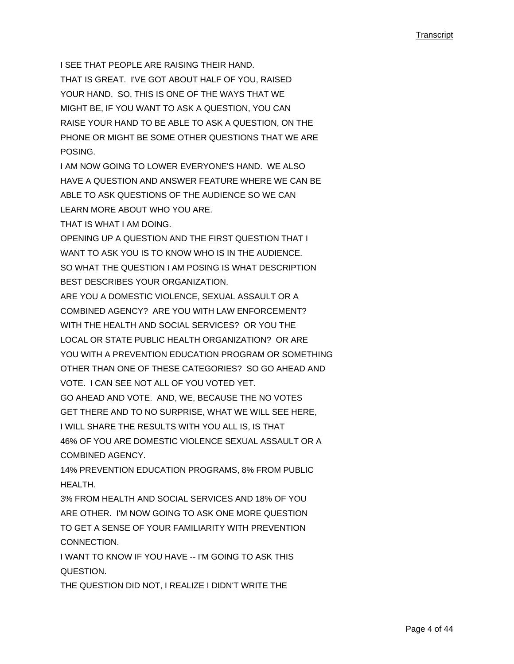I SEE THAT PEOPLE ARE RAISING THEIR HAND. THAT IS GREAT. I'VE GOT ABOUT HALF OF YOU, RAISED YOUR HAND. SO, THIS IS ONE OF THE WAYS THAT WE MIGHT BE, IF YOU WANT TO ASK A QUESTION, YOU CAN RAISE YOUR HAND TO BE ABLE TO ASK A QUESTION, ON THE PHONE OR MIGHT BE SOME OTHER QUESTIONS THAT WE ARE **POSING** 

I AM NOW GOING TO LOWER EVERYONE'S HAND. WE ALSO HAVE A QUESTION AND ANSWER FEATURE WHERE WE CAN BE ABLE TO ASK QUESTIONS OF THE AUDIENCE SO WE CAN LEARN MORE ABOUT WHO YOU ARE.

THAT IS WHAT I AM DOING.

OPENING UP A QUESTION AND THE FIRST QUESTION THAT I WANT TO ASK YOU IS TO KNOW WHO IS IN THE AUDIENCE. SO WHAT THE QUESTION I AM POSING IS WHAT DESCRIPTION BEST DESCRIBES YOUR ORGANIZATION.

ARE YOU A DOMESTIC VIOLENCE, SEXUAL ASSAULT OR A COMBINED AGENCY? ARE YOU WITH LAW ENFORCEMENT? WITH THE HEALTH AND SOCIAL SERVICES? OR YOU THE LOCAL OR STATE PUBLIC HEALTH ORGANIZATION? OR ARE YOU WITH A PREVENTION EDUCATION PROGRAM OR SOMETHING OTHER THAN ONE OF THESE CATEGORIES? SO GO AHEAD AND VOTE. I CAN SEE NOT ALL OF YOU VOTED YET. GO AHEAD AND VOTE. AND, WE, BECAUSE THE NO VOTES

GET THERE AND TO NO SURPRISE, WHAT WE WILL SEE HERE, I WILL SHARE THE RESULTS WITH YOU ALL IS, IS THAT 46% OF YOU ARE DOMESTIC VIOLENCE SEXUAL ASSAULT OR A COMBINED AGENCY.

14% PREVENTION EDUCATION PROGRAMS, 8% FROM PUBLIC HEALTH.

3% FROM HEALTH AND SOCIAL SERVICES AND 18% OF YOU ARE OTHER. I'M NOW GOING TO ASK ONE MORE QUESTION TO GET A SENSE OF YOUR FAMILIARITY WITH PREVENTION **CONNECTION** 

I WANT TO KNOW IF YOU HAVE -- I'M GOING TO ASK THIS QUESTION.

THE QUESTION DID NOT, I REALIZE I DIDN'T WRITE THE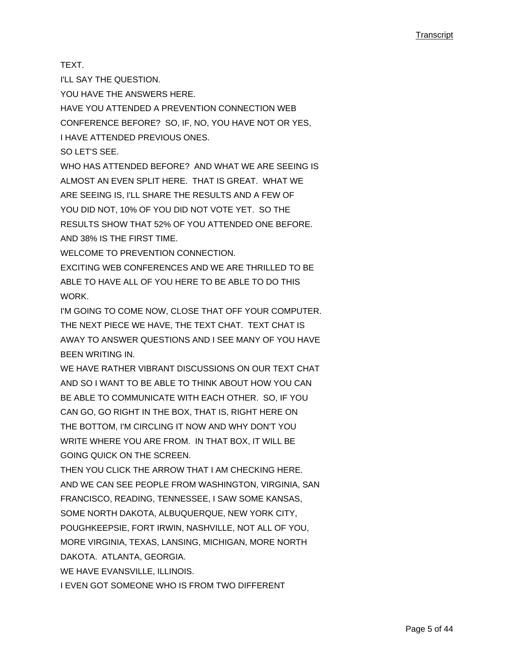TEXT.

I'LL SAY THE QUESTION.

YOU HAVE THE ANSWERS HERE.

HAVE YOU ATTENDED A PREVENTION CONNECTION WEB CONFERENCE BEFORE? SO, IF, NO, YOU HAVE NOT OR YES, I HAVE ATTENDED PREVIOUS ONES.

SO LET'S SEE.

WHO HAS ATTENDED BEFORE? AND WHAT WE ARE SEEING IS ALMOST AN EVEN SPLIT HERE. THAT IS GREAT. WHAT WE ARE SEEING IS, I'LL SHARE THE RESULTS AND A FEW OF YOU DID NOT, 10% OF YOU DID NOT VOTE YET. SO THE RESULTS SHOW THAT 52% OF YOU ATTENDED ONE BEFORE. AND 38% IS THE FIRST TIME.

WELCOME TO PREVENTION CONNECTION.

EXCITING WEB CONFERENCES AND WE ARE THRILLED TO BE ABLE TO HAVE ALL OF YOU HERE TO BE ABLE TO DO THIS WORK.

I'M GOING TO COME NOW, CLOSE THAT OFF YOUR COMPUTER. THE NEXT PIECE WE HAVE, THE TEXT CHAT. TEXT CHAT IS AWAY TO ANSWER QUESTIONS AND I SEE MANY OF YOU HAVE BEEN WRITING IN.

WE HAVE RATHER VIBRANT DISCUSSIONS ON OUR TEXT CHAT AND SO I WANT TO BE ABLE TO THINK ABOUT HOW YOU CAN BE ABLE TO COMMUNICATE WITH EACH OTHER. SO, IF YOU CAN GO, GO RIGHT IN THE BOX, THAT IS, RIGHT HERE ON THE BOTTOM, I'M CIRCLING IT NOW AND WHY DON'T YOU WRITE WHERE YOU ARE FROM. IN THAT BOX, IT WILL BE GOING QUICK ON THE SCREEN.

THEN YOU CLICK THE ARROW THAT I AM CHECKING HERE. AND WE CAN SEE PEOPLE FROM WASHINGTON, VIRGINIA, SAN FRANCISCO, READING, TENNESSEE, I SAW SOME KANSAS, SOME NORTH DAKOTA, ALBUQUERQUE, NEW YORK CITY, POUGHKEEPSIE, FORT IRWIN, NASHVILLE, NOT ALL OF YOU, MORE VIRGINIA, TEXAS, LANSING, MICHIGAN, MORE NORTH DAKOTA. ATLANTA, GEORGIA.

WE HAVE EVANSVILLE, ILLINOIS.

I EVEN GOT SOMEONE WHO IS FROM TWO DIFFERENT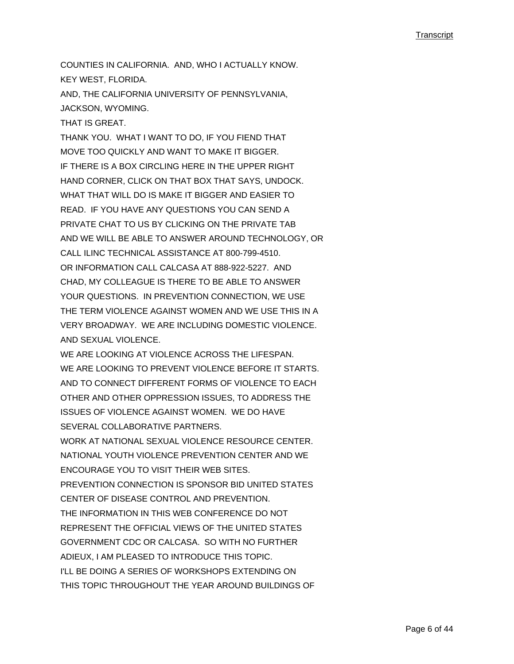COUNTIES IN CALIFORNIA. AND, WHO I ACTUALLY KNOW. KEY WEST, FLORIDA.

AND, THE CALIFORNIA UNIVERSITY OF PENNSYLVANIA, JACKSON, WYOMING.

THAT IS GREAT.

THANK YOU. WHAT I WANT TO DO, IF YOU FIEND THAT MOVE TOO QUICKLY AND WANT TO MAKE IT BIGGER. IF THERE IS A BOX CIRCLING HERE IN THE UPPER RIGHT HAND CORNER, CLICK ON THAT BOX THAT SAYS, UNDOCK. WHAT THAT WILL DO IS MAKE IT BIGGER AND EASIER TO READ. IF YOU HAVE ANY QUESTIONS YOU CAN SEND A PRIVATE CHAT TO US BY CLICKING ON THE PRIVATE TAB AND WE WILL BE ABLE TO ANSWER AROUND TECHNOLOGY, OR CALL ILINC TECHNICAL ASSISTANCE AT 800-799-4510. OR INFORMATION CALL CALCASA AT 888-922-5227. AND CHAD, MY COLLEAGUE IS THERE TO BE ABLE TO ANSWER YOUR QUESTIONS. IN PREVENTION CONNECTION, WE USE THE TERM VIOLENCE AGAINST WOMEN AND WE USE THIS IN A VERY BROADWAY. WE ARE INCLUDING DOMESTIC VIOLENCE. AND SEXUAL VIOLENCE.

WE ARE LOOKING AT VIOLENCE ACROSS THE LIFESPAN. WE ARE LOOKING TO PREVENT VIOLENCE BEFORE IT STARTS. AND TO CONNECT DIFFERENT FORMS OF VIOLENCE TO EACH OTHER AND OTHER OPPRESSION ISSUES, TO ADDRESS THE ISSUES OF VIOLENCE AGAINST WOMEN. WE DO HAVE SEVERAL COLLABORATIVE PARTNERS.

WORK AT NATIONAL SEXUAL VIOLENCE RESOURCE CENTER. NATIONAL YOUTH VIOLENCE PREVENTION CENTER AND WE ENCOURAGE YOU TO VISIT THEIR WEB SITES.

PREVENTION CONNECTION IS SPONSOR BID UNITED STATES CENTER OF DISEASE CONTROL AND PREVENTION. THE INFORMATION IN THIS WEB CONFERENCE DO NOT REPRESENT THE OFFICIAL VIEWS OF THE UNITED STATES GOVERNMENT CDC OR CALCASA. SO WITH NO FURTHER ADIEUX, I AM PLEASED TO INTRODUCE THIS TOPIC. I'LL BE DOING A SERIES OF WORKSHOPS EXTENDING ON THIS TOPIC THROUGHOUT THE YEAR AROUND BUILDINGS OF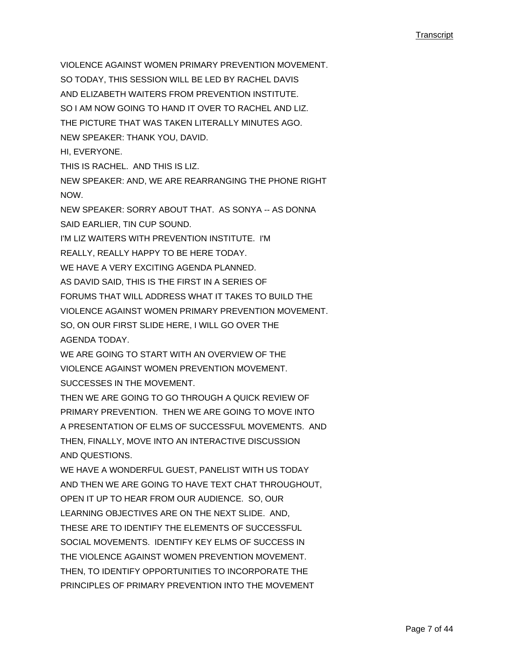VIOLENCE AGAINST WOMEN PRIMARY PREVENTION MOVEMENT. SO TODAY, THIS SESSION WILL BE LED BY RACHEL DAVIS AND ELIZABETH WAITERS FROM PREVENTION INSTITUTE SO I AM NOW GOING TO HAND IT OVER TO RACHEL AND LIZ. THE PICTURE THAT WAS TAKEN LITERALLY MINUTES AGO. NEW SPEAKER: THANK YOU, DAVID. HI, EVERYONE. THIS IS RACHEL. AND THIS IS LIZ. NEW SPEAKER: AND, WE ARE REARRANGING THE PHONE RIGHT NOW. NEW SPEAKER: SORRY ABOUT THAT. AS SONYA -- AS DONNA SAID EARLIER, TIN CUP SOUND. I'M LIZ WAITERS WITH PREVENTION INSTITUTE. I'M REALLY, REALLY HAPPY TO BE HERE TODAY. WE HAVE A VERY EXCITING AGENDA PLANNED. AS DAVID SAID, THIS IS THE FIRST IN A SERIES OF FORUMS THAT WILL ADDRESS WHAT IT TAKES TO BUILD THE VIOLENCE AGAINST WOMEN PRIMARY PREVENTION MOVEMENT. SO, ON OUR FIRST SLIDE HERE, I WILL GO OVER THE AGENDA TODAY. WE ARE GOING TO START WITH AN OVERVIEW OF THE VIOLENCE AGAINST WOMEN PREVENTION MOVEMENT. SUCCESSES IN THE MOVEMENT. THEN WE ARE GOING TO GO THROUGH A QUICK REVIEW OF PRIMARY PREVENTION. THEN WE ARE GOING TO MOVE INTO A PRESENTATION OF ELMS OF SUCCESSFUL MOVEMENTS. AND THEN, FINALLY, MOVE INTO AN INTERACTIVE DISCUSSION AND QUESTIONS. WE HAVE A WONDERFUL GUEST, PANELIST WITH US TODAY AND THEN WE ARE GOING TO HAVE TEXT CHAT THROUGHOUT, OPEN IT UP TO HEAR FROM OUR AUDIENCE. SO, OUR LEARNING OBJECTIVES ARE ON THE NEXT SLIDE. AND, THESE ARE TO IDENTIFY THE FI EMENTS OF SUCCESSFUL

SOCIAL MOVEMENTS. IDENTIFY KEY ELMS OF SUCCESS IN THE VIOLENCE AGAINST WOMEN PREVENTION MOVEMENT. THEN, TO IDENTIFY OPPORTUNITIES TO INCORPORATE THE

PRINCIPLES OF PRIMARY PREVENTION INTO THE MOVEMENT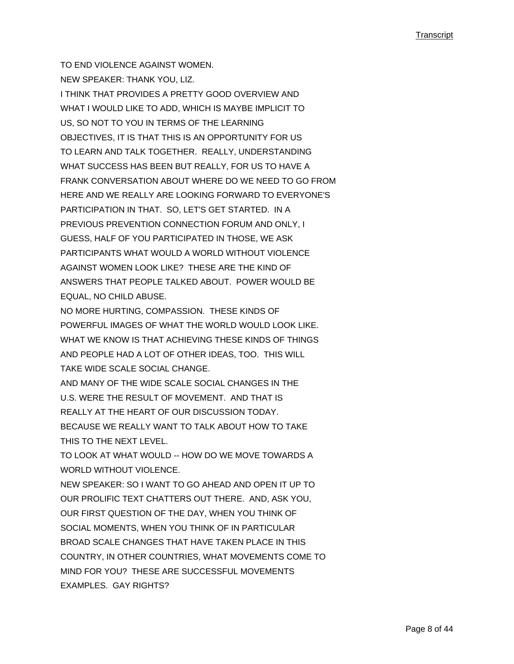TO END VIOLENCE AGAINST WOMEN. NEW SPEAKER: THANK YOU, LIZ. I THINK THAT PROVIDES A PRETTY GOOD OVERVIEW AND WHAT I WOULD LIKE TO ADD, WHICH IS MAYBE IMPLICIT TO US, SO NOT TO YOU IN TERMS OF THE LEARNING OBJECTIVES, IT IS THAT THIS IS AN OPPORTUNITY FOR US TO LEARN AND TALK TOGETHER. REALLY, UNDERSTANDING WHAT SUCCESS HAS BEEN BUT REALLY, FOR US TO HAVE A FRANK CONVERSATION ABOUT WHERE DO WE NEED TO GO FROM HERE AND WE REALLY ARE LOOKING FORWARD TO EVERYONE'S PARTICIPATION IN THAT. SO, LET'S GET STARTED. IN A PREVIOUS PREVENTION CONNECTION FORUM AND ONLY, I GUESS, HALF OF YOU PARTICIPATED IN THOSE, WE ASK PARTICIPANTS WHAT WOULD A WORLD WITHOUT VIOLENCE AGAINST WOMEN LOOK LIKE? THESE ARE THE KIND OF ANSWERS THAT PEOPLE TALKED ABOUT. POWER WOULD BE EQUAL, NO CHILD ABUSE.

NO MORE HURTING, COMPASSION. THESE KINDS OF POWERFUL IMAGES OF WHAT THE WORLD WOULD LOOK LIKE. WHAT WE KNOW IS THAT ACHIEVING THESE KINDS OF THINGS AND PEOPLE HAD A LOT OF OTHER IDEAS, TOO. THIS WILL TAKE WIDE SCALE SOCIAL CHANGE.

AND MANY OF THE WIDE SCALE SOCIAL CHANGES IN THE U.S. WERE THE RESULT OF MOVEMENT. AND THAT IS REALLY AT THE HEART OF OUR DISCUSSION TODAY. BECAUSE WE REALLY WANT TO TALK ABOUT HOW TO TAKE THIS TO THE NEXT LEVEL.

TO LOOK AT WHAT WOULD -- HOW DO WE MOVE TOWARDS A WORLD WITHOUT VIOLENCE

NEW SPEAKER: SO I WANT TO GO AHEAD AND OPEN IT UP TO OUR PROLIFIC TEXT CHATTERS OUT THERE. AND, ASK YOU, OUR FIRST QUESTION OF THE DAY, WHEN YOU THINK OF SOCIAL MOMENTS, WHEN YOU THINK OF IN PARTICULAR BROAD SCALE CHANGES THAT HAVE TAKEN PLACE IN THIS COUNTRY, IN OTHER COUNTRIES, WHAT MOVEMENTS COME TO MIND FOR YOU? THESE ARE SUCCESSFUL MOVEMENTS EXAMPLES. GAY RIGHTS?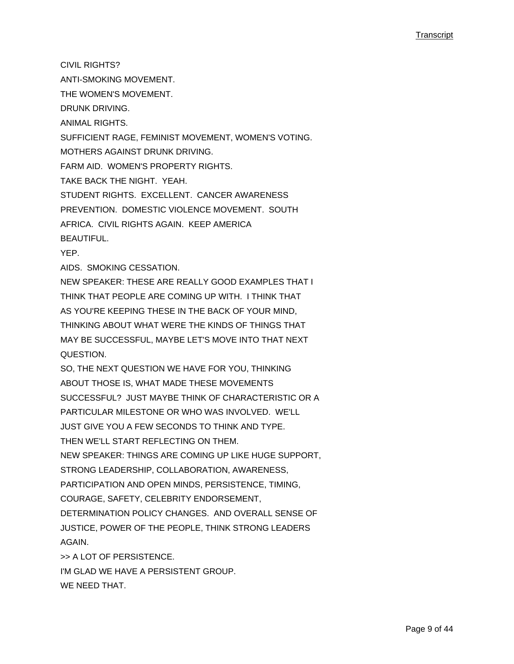CIVIL RIGHTS? ANTI-SMOKING MOVEMENT. THE WOMEN'S MOVEMENT. DRUNK DRIVING. ANIMAL RIGHTS. SUFFICIENT RAGE, FEMINIST MOVEMENT, WOMEN'S VOTING. MOTHERS AGAINST DRUNK DRIVING. FARM AID. WOMEN'S PROPERTY RIGHTS. TAKE BACK THE NIGHT. YEAH. STUDENT RIGHTS. EXCELLENT. CANCER AWARENESS PREVENTION. DOMESTIC VIOLENCE MOVEMENT. SOUTH AFRICA. CIVIL RIGHTS AGAIN. KEEP AMERICA BEAUTIFUL. YEP. AIDS. SMOKING CESSATION. NEW SPEAKER: THESE ARE REALLY GOOD EXAMPLES THAT I THINK THAT PEOPLE ARE COMING UP WITH. I THINK THAT AS YOU'RE KEEPING THESE IN THE BACK OF YOUR MIND, THINKING ABOUT WHAT WERE THE KINDS OF THINGS THAT MAY BE SUCCESSFUL, MAYBE LET'S MOVE INTO THAT NEXT QUESTION. SO, THE NEXT QUESTION WE HAVE FOR YOU, THINKING ABOUT THOSE IS, WHAT MADE THESE MOVEMENTS SUCCESSFUL? JUST MAYBE THINK OF CHARACTERISTIC OR A PARTICULAR MILESTONE OR WHO WAS INVOLVED. WE'LL JUST GIVE YOU A FEW SECONDS TO THINK AND TYPE. THEN WE'LL START REFLECTING ON THEM. NEW SPEAKER: THINGS ARE COMING UP LIKE HUGE SUPPORT, STRONG LEADERSHIP, COLLABORATION, AWARENESS, PARTICIPATION AND OPEN MINDS, PERSISTENCE, TIMING, COURAGE, SAFETY, CELEBRITY ENDORSEMENT, DETERMINATION POLICY CHANGES. AND OVERALL SENSE OF JUSTICE, POWER OF THE PEOPLE, THINK STRONG LEADERS AGAIN. >> A LOT OF PERSISTENCE. I'M GLAD WE HAVE A PERSISTENT GROUP.

WE NEED THAT.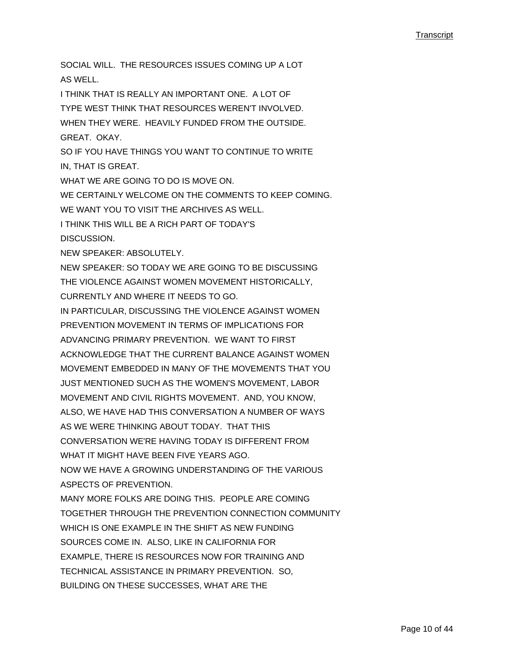SOCIAL WILL. THE RESOURCES ISSUES COMING UP A LOT AS WELL. I THINK THAT IS REALLY AN IMPORTANT ONE. A LOT OF TYPE WEST THINK THAT RESOURCES WEREN'T INVOLVED. WHEN THEY WERE. HEAVILY FUNDED FROM THE OUTSIDE. GREAT. OKAY. SO IF YOU HAVE THINGS YOU WANT TO CONTINUE TO WRITE IN, THAT IS GREAT. WHAT WE ARE GOING TO DO IS MOVE ON. WE CERTAINLY WELCOME ON THE COMMENTS TO KEEP COMING. WE WANT YOU TO VISIT THE ARCHIVES AS WELL. I THINK THIS WILL BE A RICH PART OF TODAY'S DISCUSSION. NEW SPEAKER: ABSOLUTELY. NEW SPEAKER: SO TODAY WE ARE GOING TO BE DISCUSSING THE VIOLENCE AGAINST WOMEN MOVEMENT HISTORICALLY, CURRENTLY AND WHERE IT NEEDS TO GO. IN PARTICULAR, DISCUSSING THE VIOLENCE AGAINST WOMEN PREVENTION MOVEMENT IN TERMS OF IMPLICATIONS FOR ADVANCING PRIMARY PREVENTION. WE WANT TO FIRST ACKNOWLEDGE THAT THE CURRENT BALANCE AGAINST WOMEN MOVEMENT EMBEDDED IN MANY OF THE MOVEMENTS THAT YOU JUST MENTIONED SUCH AS THE WOMEN'S MOVEMENT, LABOR MOVEMENT AND CIVIL RIGHTS MOVEMENT. AND, YOU KNOW, ALSO, WE HAVE HAD THIS CONVERSATION A NUMBER OF WAYS AS WE WERE THINKING ABOUT TODAY. THAT THIS CONVERSATION WE'RE HAVING TODAY IS DIFFERENT FROM WHAT IT MIGHT HAVE BEEN FIVE YEARS AGO. NOW WE HAVE A GROWING UNDERSTANDING OF THE VARIOUS ASPECTS OF PREVENTION. MANY MORE FOLKS ARE DOING THIS. PEOPLE ARE COMING TOGETHER THROUGH THE PREVENTION CONNECTION COMMUNITY WHICH IS ONE EXAMPLE IN THE SHIFT AS NEW FUNDING SOURCES COME IN. ALSO, LIKE IN CALIFORNIA FOR EXAMPLE, THERE IS RESOURCES NOW FOR TRAINING AND TECHNICAL ASSISTANCE IN PRIMARY PREVENTION. SO, BUILDING ON THESE SUCCESSES, WHAT ARE THE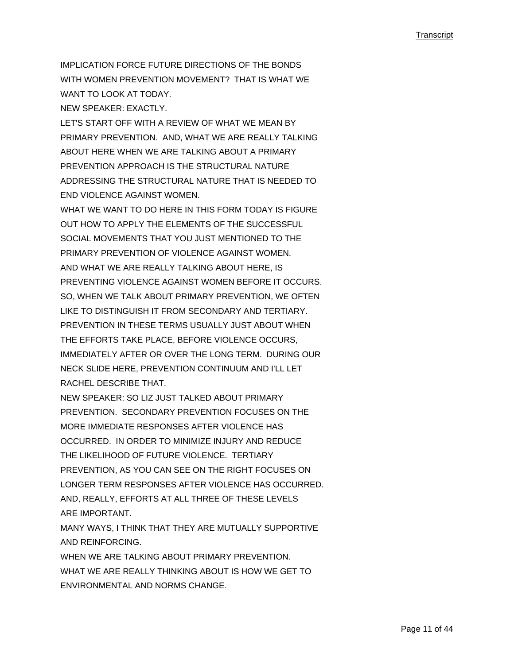IMPLICATION FORCE FUTURE DIRECTIONS OF THE BONDS WITH WOMEN PREVENTION MOVEMENT? THAT IS WHAT WE WANT TO LOOK AT TODAY

NEW SPEAKER: EXACTLY.

LET'S START OFF WITH A REVIEW OF WHAT WE MEAN BY PRIMARY PREVENTION. AND, WHAT WE ARE REALLY TALKING ABOUT HERE WHEN WE ARE TALKING ABOUT A PRIMARY PREVENTION APPROACH IS THE STRUCTURAL NATURE ADDRESSING THE STRUCTURAL NATURE THAT IS NEEDED TO END VIOLENCE AGAINST WOMEN.

WHAT WE WANT TO DO HERE IN THIS FORM TODAY IS FIGURE OUT HOW TO APPLY THE ELEMENTS OF THE SUCCESSFUL SOCIAL MOVEMENTS THAT YOU JUST MENTIONED TO THE PRIMARY PREVENTION OF VIOLENCE AGAINST WOMEN. AND WHAT WE ARE REALLY TALKING ABOUT HERE, IS PREVENTING VIOLENCE AGAINST WOMEN BEFORE IT OCCURS. SO, WHEN WE TALK ABOUT PRIMARY PREVENTION, WE OFTEN LIKE TO DISTINGUISH IT FROM SECONDARY AND TERTIARY. PREVENTION IN THESE TERMS USUALLY JUST ABOUT WHEN THE EFFORTS TAKE PLACE, BEFORE VIOLENCE OCCURS, IMMEDIATELY AFTER OR OVER THE LONG TERM. DURING OUR NECK SLIDE HERE, PREVENTION CONTINUUM AND I'LL LET RACHEL DESCRIBE THAT.

NEW SPEAKER: SO LIZ JUST TALKED ABOUT PRIMARY PREVENTION. SECONDARY PREVENTION FOCUSES ON THE MORE IMMEDIATE RESPONSES AFTER VIOLENCE HAS OCCURRED. IN ORDER TO MINIMIZE INJURY AND REDUCE THE LIKELIHOOD OF FUTURE VIOLENCE. TERTIARY PREVENTION, AS YOU CAN SEE ON THE RIGHT FOCUSES ON LONGER TERM RESPONSES AFTER VIOLENCE HAS OCCURRED. AND, REALLY, EFFORTS AT ALL THREE OF THESE LEVELS ARE IMPORTANT.

MANY WAYS, I THINK THAT THEY ARE MUTUALLY SUPPORTIVE AND REINFORCING.

WHEN WE ARE TALKING ABOUT PRIMARY PREVENTION. WHAT WE ARE REALLY THINKING ABOUT IS HOW WE GET TO ENVIRONMENTAL AND NORMS CHANGE.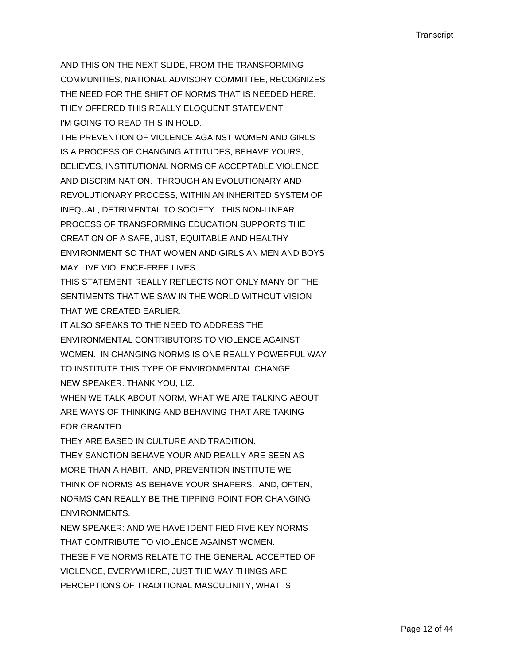AND THIS ON THE NEXT SLIDE, FROM THE TRANSFORMING COMMUNITIES, NATIONAL ADVISORY COMMITTEE, RECOGNIZES THE NEED FOR THE SHIFT OF NORMS THAT IS NEEDED HERE. THEY OFFERED THIS REALLY ELOQUENT STATEMENT. I'M GOING TO READ THIS IN HOLD.

THE PREVENTION OF VIOLENCE AGAINST WOMEN AND GIRLS IS A PROCESS OF CHANGING ATTITUDES, BEHAVE YOURS, BELIEVES, INSTITUTIONAL NORMS OF ACCEPTABLE VIOLENCE AND DISCRIMINATION. THROUGH AN EVOLUTIONARY AND REVOLUTIONARY PROCESS, WITHIN AN INHERITED SYSTEM OF INEQUAL, DETRIMENTAL TO SOCIETY. THIS NON-LINEAR PROCESS OF TRANSFORMING EDUCATION SUPPORTS THE CREATION OF A SAFE, JUST, EQUITABLE AND HEALTHY ENVIRONMENT SO THAT WOMEN AND GIRLS AN MEN AND BOYS MAY LIVE VIOLENCE-FREE LIVES.

THIS STATEMENT REALLY REFLECTS NOT ONLY MANY OF THE SENTIMENTS THAT WE SAW IN THE WORLD WITHOUT VISION THAT WE CREATED EARLIER.

IT ALSO SPEAKS TO THE NEED TO ADDRESS THE ENVIRONMENTAL CONTRIBUTORS TO VIOLENCE AGAINST WOMEN. IN CHANGING NORMS IS ONE REALLY POWERFUL WAY TO INSTITUTE THIS TYPE OF ENVIRONMENTAL CHANGE. NEW SPEAKER: THANK YOU, LIZ.

WHEN WE TALK ABOUT NORM, WHAT WE ARE TALKING ABOUT ARE WAYS OF THINKING AND BEHAVING THAT ARE TAKING FOR GRANTED.

THEY ARE BASED IN CULTURE AND TRADITION. THEY SANCTION BEHAVE YOUR AND REALLY ARE SEEN AS MORE THAN A HABIT. AND, PREVENTION INSTITUTE WE THINK OF NORMS AS BEHAVE YOUR SHAPERS. AND, OFTEN, NORMS CAN REALLY BE THE TIPPING POINT FOR CHANGING ENVIRONMENTS.

NEW SPEAKER: AND WE HAVE IDENTIFIED FIVE KEY NORMS THAT CONTRIBUTE TO VIOLENCE AGAINST WOMEN. THESE FIVE NORMS RELATE TO THE GENERAL ACCEPTED OF VIOLENCE, EVERYWHERE, JUST THE WAY THINGS ARE. PERCEPTIONS OF TRADITIONAL MASCULINITY, WHAT IS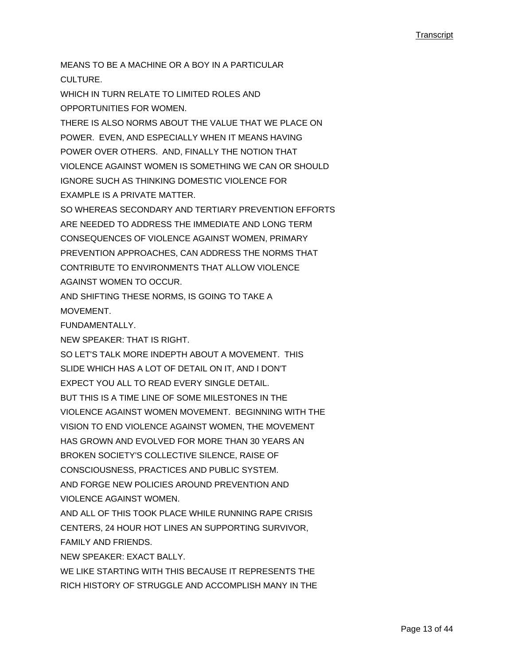MEANS TO BE A MACHINE OR A BOY IN A PARTICULAR CULTURE. WHICH IN TURN RELATE TO LIMITED ROLES AND OPPORTUNITIES FOR WOMEN. THERE IS ALSO NORMS ABOUT THE VALUE THAT WE PLACE ON POWER. EVEN, AND ESPECIALLY WHEN IT MEANS HAVING POWER OVER OTHERS. AND, FINALLY THE NOTION THAT VIOLENCE AGAINST WOMEN IS SOMETHING WE CAN OR SHOULD IGNORE SUCH AS THINKING DOMESTIC VIOLENCE FOR EXAMPLE IS A PRIVATE MATTER. SO WHEREAS SECONDARY AND TERTIARY PREVENTION EFFORTS ARE NEEDED TO ADDRESS THE IMMEDIATE AND LONG TERM CONSEQUENCES OF VIOLENCE AGAINST WOMEN, PRIMARY PREVENTION APPROACHES, CAN ADDRESS THE NORMS THAT CONTRIBUTE TO ENVIRONMENTS THAT ALLOW VIOLENCE AGAINST WOMEN TO OCCUR. AND SHIFTING THESE NORMS, IS GOING TO TAKE A **MOVEMENT** FUNDAMENTALLY. NEW SPEAKER: THAT IS RIGHT. SO LET'S TALK MORE INDEPTH ABOUT A MOVEMENT. THIS SLIDE WHICH HAS A LOT OF DETAIL ON IT, AND I DON'T EXPECT YOU ALL TO READ EVERY SINGLE DETAIL. BUT THIS IS A TIME LINE OF SOME MILESTONES IN THE VIOLENCE AGAINST WOMEN MOVEMENT. BEGINNING WITH THE VISION TO END VIOLENCE AGAINST WOMEN, THE MOVEMENT HAS GROWN AND EVOLVED FOR MORE THAN 30 YEARS AN BROKEN SOCIETY'S COLLECTIVE SILENCE, RAISE OF CONSCIOUSNESS, PRACTICES AND PUBLIC SYSTEM. AND FORGE NEW POLICIES AROUND PREVENTION AND VIOLENCE AGAINST WOMEN. AND ALL OF THIS TOOK PLACE WHILE RUNNING RAPE CRISIS

CENTERS, 24 HOUR HOT LINES AN SUPPORTING SURVIVOR, FAMILY AND FRIENDS.

NEW SPEAKER: EXACT BALLY.

WE LIKE STARTING WITH THIS BECAUSE IT REPRESENTS THE RICH HISTORY OF STRUGGLE AND ACCOMPLISH MANY IN THE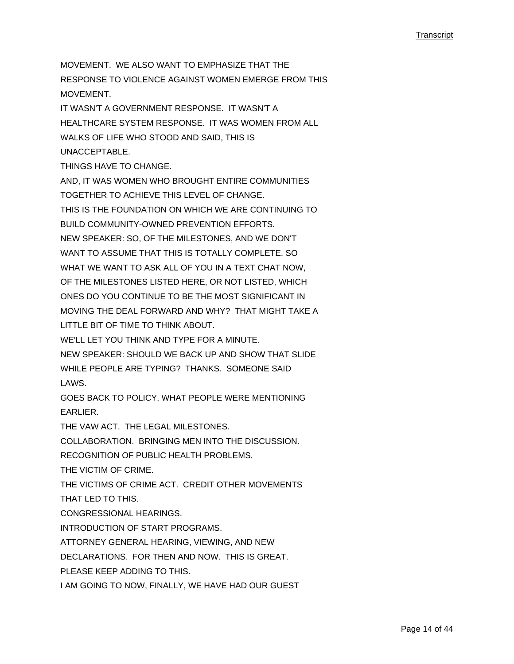MOVEMENT. WE ALSO WANT TO EMPHASIZE THAT THE RESPONSE TO VIOLENCE AGAINST WOMEN EMERGE FROM THIS MOVEMENT. IT WASN'T A GOVERNMENT RESPONSE. IT WASN'T A HEALTHCARE SYSTEM RESPONSE. IT WAS WOMEN FROM ALL WALKS OF LIFE WHO STOOD AND SAID, THIS IS UNACCEPTABLE. THINGS HAVE TO CHANGE. AND, IT WAS WOMEN WHO BROUGHT ENTIRE COMMUNITIES TOGETHER TO ACHIEVE THIS LEVEL OF CHANGE. THIS IS THE FOUNDATION ON WHICH WE ARE CONTINUING TO BUILD COMMUNITY-OWNED PREVENTION EFFORTS. NEW SPEAKER: SO, OF THE MILESTONES, AND WE DON'T WANT TO ASSUME THAT THIS IS TOTALLY COMPLETE, SO WHAT WE WANT TO ASK ALL OF YOU IN A TEXT CHAT NOW, OF THE MILESTONES LISTED HERE, OR NOT LISTED, WHICH ONES DO YOU CONTINUE TO BE THE MOST SIGNIFICANT IN MOVING THE DEAL FORWARD AND WHY? THAT MIGHT TAKE A LITTLE BIT OF TIME TO THINK ABOUT. WE'LL LET YOU THINK AND TYPE FOR A MINUTE. NEW SPEAKER: SHOULD WE BACK UP AND SHOW THAT SLIDE WHILE PEOPLE ARE TYPING? THANKS. SOMEONE SAID LAWS. GOES BACK TO POLICY, WHAT PEOPLE WERE MENTIONING EARLIER. THE VAW ACT. THE LEGAL MILESTONES. COLLABORATION. BRINGING MEN INTO THE DISCUSSION. RECOGNITION OF PUBLIC HEALTH PROBLEMS. THE VICTIM OF CRIME. THE VICTIMS OF CRIME ACT. CREDIT OTHER MOVEMENTS THAT LED TO THIS. CONGRESSIONAL HEARINGS. INTRODUCTION OF START PROGRAMS. ATTORNEY GENERAL HEARING, VIEWING, AND NEW DECLARATIONS. FOR THEN AND NOW. THIS IS GREAT. PLEASE KEEP ADDING TO THIS. I AM GOING TO NOW, FINALLY, WE HAVE HAD OUR GUEST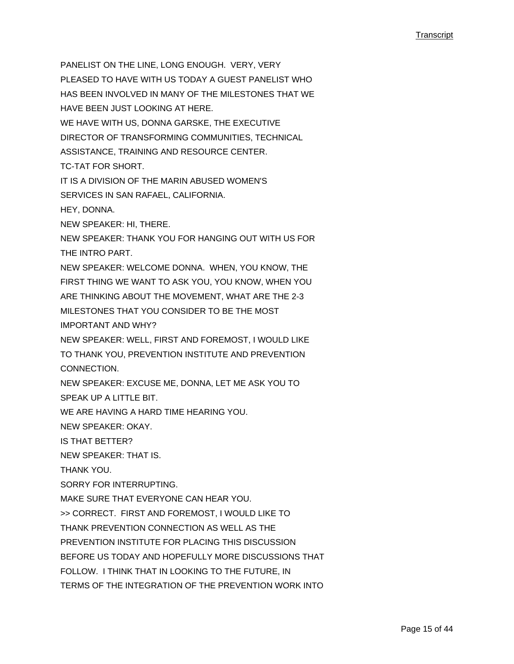PANELIST ON THE LINE, LONG ENOUGH. VERY, VERY PLEASED TO HAVE WITH US TODAY A GUEST PANELIST WHO HAS BEEN INVOLVED IN MANY OF THE MILESTONES THAT WE HAVE BEEN JUST LOOKING AT HERE. WE HAVE WITH US, DONNA GARSKE, THE EXECUTIVE DIRECTOR OF TRANSFORMING COMMUNITIES, TECHNICAL ASSISTANCE, TRAINING AND RESOURCE CENTER. TC-TAT FOR SHORT. IT IS A DIVISION OF THE MARIN ABUSED WOMEN'S SERVICES IN SAN RAFAEL, CALIFORNIA. HEY, DONNA. NEW SPEAKER: HI, THERE. NEW SPEAKER: THANK YOU FOR HANGING OUT WITH US FOR THE INTRO PART. NEW SPEAKER: WELCOME DONNA. WHEN, YOU KNOW, THE FIRST THING WE WANT TO ASK YOU, YOU KNOW, WHEN YOU ARE THINKING ABOUT THE MOVEMENT, WHAT ARE THE 2-3 MILESTONES THAT YOU CONSIDER TO BE THE MOST IMPORTANT AND WHY? NEW SPEAKER: WELL, FIRST AND FOREMOST, I WOULD LIKE TO THANK YOU, PREVENTION INSTITUTE AND PREVENTION CONNECTION. NEW SPEAKER: EXCUSE ME, DONNA, LET ME ASK YOU TO SPEAK UP A LITTLE BIT. WE ARE HAVING A HARD TIME HEARING YOU. NEW SPEAKER: OKAY. IS THAT BETTER? NEW SPEAKER: THAT IS. THANK YOU. SORRY FOR INTERRUPTING. MAKE SURE THAT EVERYONE CAN HEAR YOU. >> CORRECT. FIRST AND FOREMOST, I WOULD LIKE TO THANK PREVENTION CONNECTION AS WELL AS THE PREVENTION INSTITUTE FOR PLACING THIS DISCUSSION BEFORE US TODAY AND HOPEFULLY MORE DISCUSSIONS THAT FOLLOW. I THINK THAT IN LOOKING TO THE FUTURE, IN TERMS OF THE INTEGRATION OF THE PREVENTION WORK INTO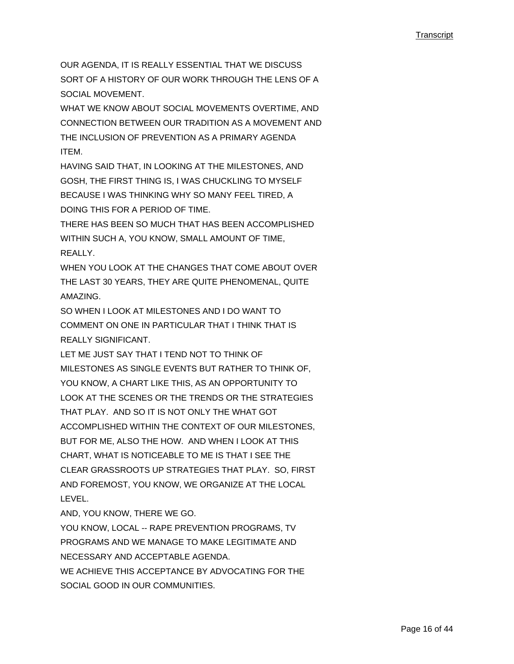OUR AGENDA, IT IS REALLY ESSENTIAL THAT WE DISCUSS SORT OF A HISTORY OF OUR WORK THROUGH THE LENS OF A SOCIAL MOVEMENT.

WHAT WE KNOW ABOUT SOCIAL MOVEMENTS OVERTIME, AND CONNECTION BETWEEN OUR TRADITION AS A MOVEMENT AND THE INCLUSION OF PREVENTION AS A PRIMARY AGENDA ITEM.

HAVING SAID THAT, IN LOOKING AT THE MILESTONES, AND GOSH, THE FIRST THING IS, I WAS CHUCKLING TO MYSELF BECAUSE I WAS THINKING WHY SO MANY FEEL TIRED, A DOING THIS FOR A PERIOD OF TIME.

THERE HAS BEEN SO MUCH THAT HAS BEEN ACCOMPLISHED WITHIN SUCH A, YOU KNOW, SMALL AMOUNT OF TIME, REALLY.

WHEN YOU LOOK AT THE CHANGES THAT COME ABOUT OVER THE LAST 30 YEARS, THEY ARE QUITE PHENOMENAL, QUITE AMAZING.

SO WHEN I LOOK AT MILESTONES AND LDO WANT TO COMMENT ON ONE IN PARTICULAR THAT I THINK THAT IS REALLY SIGNIFICANT.

LET ME JUST SAY THAT I TEND NOT TO THINK OF MILESTONES AS SINGLE EVENTS BUT RATHER TO THINK OF, YOU KNOW, A CHART LIKE THIS, AS AN OPPORTUNITY TO LOOK AT THE SCENES OR THE TRENDS OR THE STRATEGIES THAT PLAY. AND SO IT IS NOT ONLY THE WHAT GOT ACCOMPLISHED WITHIN THE CONTEXT OF OUR MILESTONES, BUT FOR ME, ALSO THE HOW. AND WHEN I LOOK AT THIS CHART, WHAT IS NOTICEABLE TO ME IS THAT I SEE THE CLEAR GRASSROOTS UP STRATEGIES THAT PLAY. SO, FIRST AND FOREMOST, YOU KNOW, WE ORGANIZE AT THE LOCAL LEVEL.

AND, YOU KNOW, THERE WE GO.

YOU KNOW, LOCAL -- RAPE PREVENTION PROGRAMS, TV PROGRAMS AND WE MANAGE TO MAKE LEGITIMATE AND NECESSARY AND ACCEPTABLE AGENDA. WE ACHIEVE THIS ACCEPTANCE BY ADVOCATING FOR THE SOCIAL GOOD IN OUR COMMUNITIES.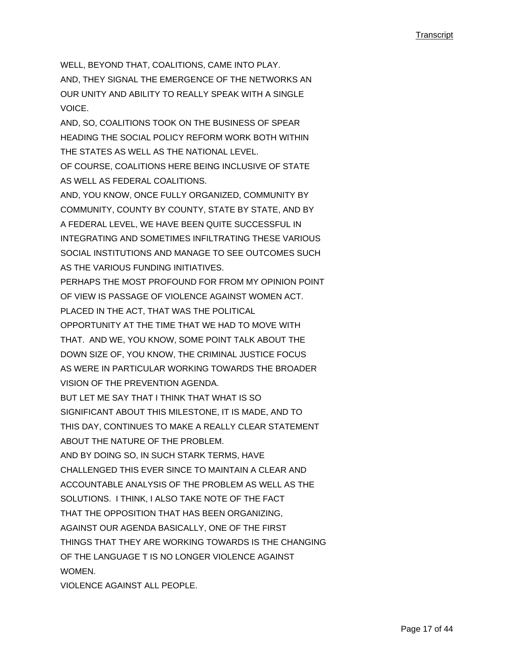WELL, BEYOND THAT, COALITIONS, CAME INTO PLAY.

AND, THEY SIGNAL THE EMERGENCE OF THE NETWORKS AN OUR UNITY AND ABILITY TO REALLY SPEAK WITH A SINGLE **VOICE** 

AND, SO, COALITIONS TOOK ON THE BUSINESS OF SPEAR HEADING THE SOCIAL POLICY REFORM WORK BOTH WITHIN THE STATES AS WELL AS THE NATIONAL LEVEL.

OF COURSE, COALITIONS HERE BEING INCLUSIVE OF STATE AS WELL AS FEDERAL COALITIONS.

AND, YOU KNOW, ONCE FULLY ORGANIZED, COMMUNITY BY COMMUNITY, COUNTY BY COUNTY, STATE BY STATE, AND BY A FEDERAL LEVEL, WE HAVE BEEN QUITE SUCCESSFUL IN INTEGRATING AND SOMETIMES INFILTRATING THESE VARIOUS SOCIAL INSTITUTIONS AND MANAGE TO SEE OUTCOMES SUCH AS THE VARIOUS FUNDING INITIATIVES.

PERHAPS THE MOST PROFOUND FOR FROM MY OPINION POINT OF VIEW IS PASSAGE OF VIOLENCE AGAINST WOMEN ACT. PLACED IN THE ACT, THAT WAS THE POLITICAL OPPORTUNITY AT THE TIME THAT WE HAD TO MOVE WITH THAT. AND WE, YOU KNOW, SOME POINT TALK ABOUT THE DOWN SIZE OF, YOU KNOW, THE CRIMINAL JUSTICE FOCUS

AS WERE IN PARTICULAR WORKING TOWARDS THE BROADER VISION OF THE PREVENTION AGENDA.

BUT LET ME SAY THAT I THINK THAT WHAT IS SO SIGNIFICANT ABOUT THIS MILESTONE, IT IS MADE, AND TO

THIS DAY, CONTINUES TO MAKE A REALLY CLEAR STATEMENT

ABOUT THE NATURE OF THE PROBLEM.

AND BY DOING SO, IN SUCH STARK TERMS, HAVE CHALLENGED THIS EVER SINCE TO MAINTAIN A CLEAR AND ACCOUNTABLE ANALYSIS OF THE PROBLEM AS WELL AS THE

SOLUTIONS. I THINK, I ALSO TAKE NOTE OF THE FACT

THAT THE OPPOSITION THAT HAS BEEN ORGANIZING,

AGAINST OUR AGENDA BASICALLY, ONE OF THE FIRST

THINGS THAT THEY ARE WORKING TOWARDS IS THE CHANGING

OF THE LANGUAGE T IS NO LONGER VIOLENCE AGAINST WOMEN.

VIOLENCE AGAINST ALL PEOPLE.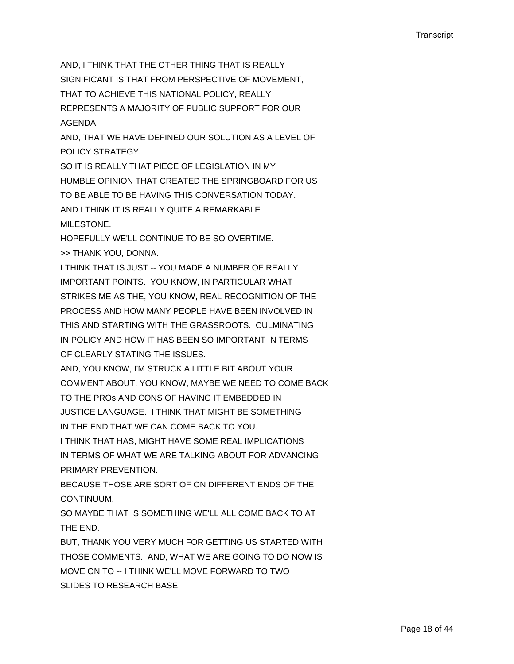AND, I THINK THAT THE OTHER THING THAT IS REALLY SIGNIFICANT IS THAT FROM PERSPECTIVE OF MOVEMENT, THAT TO ACHIEVE THIS NATIONAL POLICY, REALLY REPRESENTS A MAJORITY OF PUBLIC SUPPORT FOR OUR AGENDA.

AND, THAT WE HAVE DEFINED OUR SOLUTION AS A LEVEL OF POLICY STRATEGY.

SO IT IS REALLY THAT PIECE OF LEGISLATION IN MY HUMBLE OPINION THAT CREATED THE SPRINGBOARD FOR US TO BE ABLE TO BE HAVING THIS CONVERSATION TODAY. AND I THINK IT IS REALLY QUITE A REMARKABLE MILESTONE

HOPEFULLY WE'LL CONTINUE TO BE SO OVERTIME. >> THANK YOU, DONNA.

I THINK THAT IS JUST -- YOU MADE A NUMBER OF REALLY IMPORTANT POINTS. YOU KNOW, IN PARTICULAR WHAT STRIKES ME AS THE, YOU KNOW, REAL RECOGNITION OF THE PROCESS AND HOW MANY PEOPLE HAVE BEEN INVOLVED IN THIS AND STARTING WITH THE GRASSROOTS. CULMINATING IN POLICY AND HOW IT HAS BEEN SO IMPORTANT IN TERMS OF CLEARLY STATING THE ISSUES.

AND, YOU KNOW, I'M STRUCK A LITTLE BIT ABOUT YOUR COMMENT ABOUT, YOU KNOW, MAYBE WE NEED TO COME BACK TO THE PROs AND CONS OF HAVING IT EMBEDDED IN JUSTICE LANGUAGE. I THINK THAT MIGHT BE SOMETHING IN THE END THAT WE CAN COME BACK TO YOU.

I THINK THAT HAS, MIGHT HAVE SOME REAL IMPLICATIONS

IN TERMS OF WHAT WE ARE TALKING ABOUT FOR ADVANCING PRIMARY PREVENTION.

BECAUSE THOSE ARE SORT OF ON DIFFERENT ENDS OF THE CONTINUUM.

SO MAYBE THAT IS SOMETHING WE'LL ALL COME BACK TO AT THE END.

BUT, THANK YOU VERY MUCH FOR GETTING US STARTED WITH THOSE COMMENTS. AND, WHAT WE ARE GOING TO DO NOW IS MOVE ON TO -- I THINK WE'LL MOVE FORWARD TO TWO SLIDES TO RESEARCH BASE.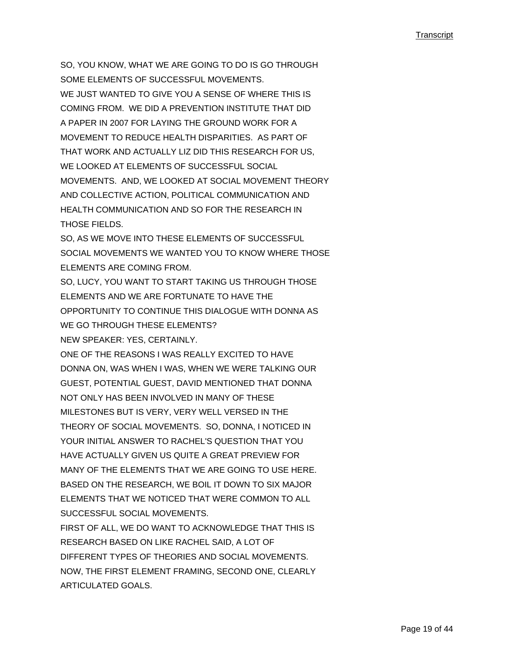SO, YOU KNOW, WHAT WE ARE GOING TO DO IS GO THROUGH SOME ELEMENTS OF SUCCESSFUL MOVEMENTS. WE JUST WANTED TO GIVE YOU A SENSE OF WHERE THIS IS COMING FROM. WE DID A PREVENTION INSTITUTE THAT DID A PAPER IN 2007 FOR LAYING THE GROUND WORK FOR A MOVEMENT TO REDUCE HEALTH DISPARITIES. AS PART OF THAT WORK AND ACTUALLY LIZ DID THIS RESEARCH FOR US, WE LOOKED AT ELEMENTS OF SUCCESSFUL SOCIAL MOVEMENTS. AND, WE LOOKED AT SOCIAL MOVEMENT THEORY AND COLLECTIVE ACTION, POLITICAL COMMUNICATION AND HEALTH COMMUNICATION AND SO FOR THE RESEARCH IN THOSE FIELDS.

SO, AS WE MOVE INTO THESE ELEMENTS OF SUCCESSFUL SOCIAL MOVEMENTS WE WANTED YOU TO KNOW WHERE THOSE ELEMENTS ARE COMING FROM.

SO, LUCY, YOU WANT TO START TAKING US THROUGH THOSE ELEMENTS AND WE ARE FORTUNATE TO HAVE THE OPPORTUNITY TO CONTINUE THIS DIALOGUE WITH DONNA AS WE GO THROUGH THESE ELEMENTS? NEW SPEAKER: YES, CERTAINLY.

ONE OF THE REASONS I WAS REALLY EXCITED TO HAVE DONNA ON, WAS WHEN I WAS, WHEN WE WERE TALKING OUR GUEST, POTENTIAL GUEST, DAVID MENTIONED THAT DONNA NOT ONLY HAS BEEN INVOLVED IN MANY OF THESE MILESTONES BUT IS VERY, VERY WELL VERSED IN THE THEORY OF SOCIAL MOVEMENTS. SO, DONNA, I NOTICED IN YOUR INITIAL ANSWER TO RACHEL'S QUESTION THAT YOU HAVE ACTUALLY GIVEN US QUITE A GREAT PREVIEW FOR MANY OF THE ELEMENTS THAT WE ARE GOING TO USE HERE. BASED ON THE RESEARCH, WE BOIL IT DOWN TO SIX MAJOR ELEMENTS THAT WE NOTICED THAT WERE COMMON TO ALL SUCCESSFUL SOCIAL MOVEMENTS.

FIRST OF ALL, WE DO WANT TO ACKNOWLEDGE THAT THIS IS RESEARCH BASED ON LIKE RACHEL SAID, A LOT OF DIFFERENT TYPES OF THEORIES AND SOCIAL MOVEMENTS. NOW, THE FIRST ELEMENT FRAMING, SECOND ONE, CLEARLY ARTICULATED GOALS.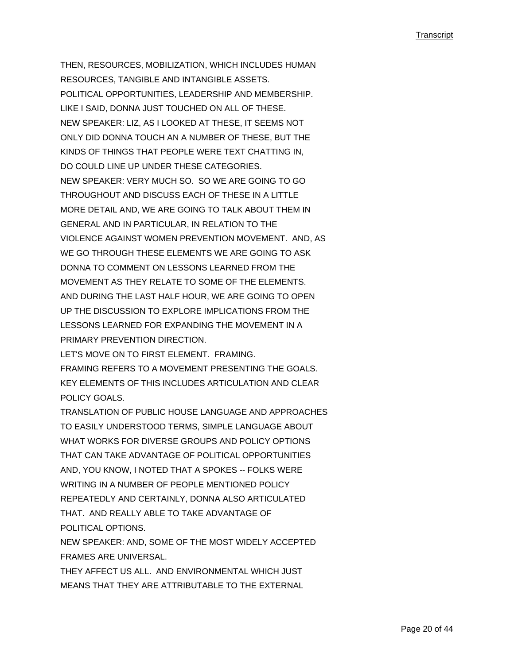THEN, RESOURCES, MOBILIZATION, WHICH INCLUDES HUMAN RESOURCES, TANGIBLE AND INTANGIBLE ASSETS. POLITICAL OPPORTUNITIES, LEADERSHIP AND MEMBERSHIP. LIKE I SAID, DONNA JUST TOUCHED ON ALL OF THESE. NEW SPEAKER: LIZ, AS I LOOKED AT THESE, IT SEEMS NOT ONLY DID DONNA TOUCH AN A NUMBER OF THESE, BUT THE KINDS OF THINGS THAT PEOPLE WERE TEXT CHATTING IN, DO COULD LINE UP UNDER THESE CATEGORIES. NEW SPEAKER: VERY MUCH SO. SO WE ARE GOING TO GO THROUGHOUT AND DISCUSS EACH OF THESE IN A LITTLE MORE DETAIL AND, WE ARE GOING TO TALK ABOUT THEM IN GENERAL AND IN PARTICULAR, IN RELATION TO THE VIOLENCE AGAINST WOMEN PREVENTION MOVEMENT. AND, AS WE GO THROUGH THESE ELEMENTS WE ARE GOING TO ASK DONNA TO COMMENT ON LESSONS LEARNED FROM THE MOVEMENT AS THEY RELATE TO SOME OF THE ELEMENTS. AND DURING THE LAST HALF HOUR, WE ARE GOING TO OPEN UP THE DISCUSSION TO EXPLORE IMPLICATIONS FROM THE LESSONS LEARNED FOR EXPANDING THE MOVEMENT IN A PRIMARY PREVENTION DIRECTION.

LET'S MOVE ON TO FIRST ELEMENT. FRAMING. FRAMING REFERS TO A MOVEMENT PRESENTING THE GOALS. KEY ELEMENTS OF THIS INCLUDES ARTICULATION AND CLEAR POLICY GOALS.

TRANSLATION OF PUBLIC HOUSE LANGUAGE AND APPROACHES TO EASILY UNDERSTOOD TERMS, SIMPLE LANGUAGE ABOUT WHAT WORKS FOR DIVERSE GROUPS AND POLICY OPTIONS THAT CAN TAKE ADVANTAGE OF POLITICAL OPPORTUNITIES AND, YOU KNOW, I NOTED THAT A SPOKES -- FOLKS WERE WRITING IN A NUMBER OF PEOPLE MENTIONED POLICY REPEATEDLY AND CERTAINLY, DONNA ALSO ARTICULATED THAT. AND REALLY ABLE TO TAKE ADVANTAGE OF POLITICAL OPTIONS.

NEW SPEAKER: AND, SOME OF THE MOST WIDELY ACCEPTED FRAMES ARE UNIVERSAL.

THEY AFFECT US ALL. AND ENVIRONMENTAL WHICH JUST MEANS THAT THEY ARE ATTRIBUTABLE TO THE EXTERNAL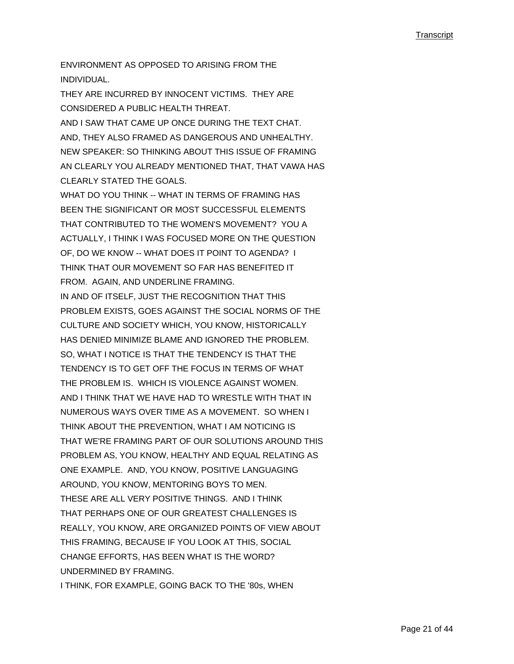ENVIRONMENT AS OPPOSED TO ARISING FROM THE INDIVIDUAL.

THEY ARE INCURRED BY INNOCENT VICTIMS. THEY ARE CONSIDERED A PUBLIC HEALTH THREAT. AND I SAW THAT CAME UP ONCE DURING THE TEXT CHAT. AND, THEY ALSO FRAMED AS DANGEROUS AND UNHEALTHY. NEW SPEAKER: SO THINKING ABOUT THIS ISSUE OF FRAMING AN CLEARLY YOU ALREADY MENTIONED THAT, THAT VAWA HAS CLEARLY STATED THE GOALS. WHAT DO YOU THINK -- WHAT IN TERMS OF FRAMING HAS BEEN THE SIGNIFICANT OR MOST SUCCESSFUL ELEMENTS THAT CONTRIBUTED TO THE WOMEN'S MOVEMENT? YOU A ACTUALLY, I THINK I WAS FOCUSED MORE ON THE QUESTION OF, DO WE KNOW -- WHAT DOES IT POINT TO AGENDA? I THINK THAT OUR MOVEMENT SO FAR HAS BENEFITED IT FROM. AGAIN, AND UNDERLINE FRAMING. IN AND OF ITSELF, JUST THE RECOGNITION THAT THIS PROBLEM EXISTS, GOES AGAINST THE SOCIAL NORMS OF THE CULTURE AND SOCIETY WHICH, YOU KNOW, HISTORICALLY HAS DENIED MINIMIZE BLAME AND IGNORED THE PROBLEM. SO, WHAT I NOTICE IS THAT THE TENDENCY IS THAT THE TENDENCY IS TO GET OFF THE FOCUS IN TERMS OF WHAT THE PROBLEM IS. WHICH IS VIOLENCE AGAINST WOMEN. AND I THINK THAT WE HAVE HAD TO WRESTLE WITH THAT IN NUMEROUS WAYS OVER TIME AS A MOVEMENT. SO WHEN I THINK ABOUT THE PREVENTION, WHAT I AM NOTICING IS THAT WE'RE FRAMING PART OF OUR SOLUTIONS AROUND THIS PROBLEM AS, YOU KNOW, HEALTHY AND EQUAL RELATING AS ONE EXAMPLE. AND, YOU KNOW, POSITIVE LANGUAGING AROUND, YOU KNOW, MENTORING BOYS TO MEN. THESE ARE ALL VERY POSITIVE THINGS. AND I THINK THAT PERHAPS ONE OF OUR GREATEST CHALLENGES IS REALLY, YOU KNOW, ARE ORGANIZED POINTS OF VIEW ABOUT THIS FRAMING, BECAUSE IF YOU LOOK AT THIS, SOCIAL CHANGE EFFORTS, HAS BEEN WHAT IS THE WORD? UNDERMINED BY FRAMING. I THINK, FOR EXAMPLE, GOING BACK TO THE '80s, WHEN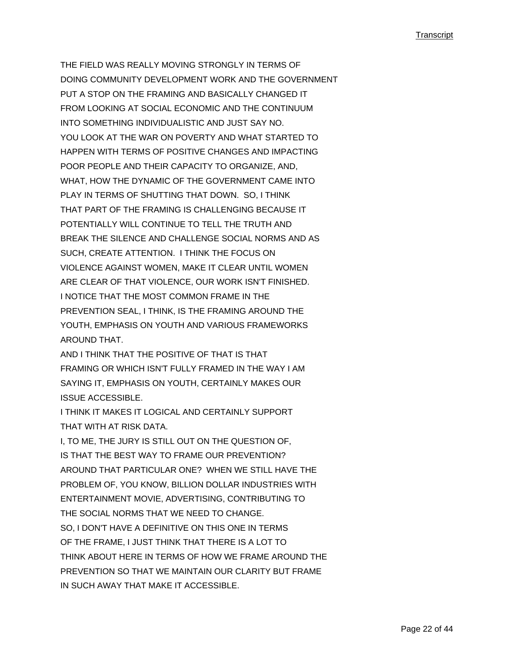THE FIELD WAS REALLY MOVING STRONGLY IN TERMS OF DOING COMMUNITY DEVELOPMENT WORK AND THE GOVERNMENT PUT A STOP ON THE FRAMING AND BASICALLY CHANGED IT FROM LOOKING AT SOCIAL ECONOMIC AND THE CONTINUUM INTO SOMETHING INDIVIDUALISTIC AND JUST SAY NO. YOU LOOK AT THE WAR ON POVERTY AND WHAT STARTED TO HAPPEN WITH TERMS OF POSITIVE CHANGES AND IMPACTING POOR PEOPLE AND THEIR CAPACITY TO ORGANIZE, AND, WHAT, HOW THE DYNAMIC OF THE GOVERNMENT CAME INTO PLAY IN TERMS OF SHUTTING THAT DOWN. SO, I THINK THAT PART OF THE FRAMING IS CHALLENGING BECAUSE IT POTENTIALLY WILL CONTINUE TO TELL THE TRUTH AND BREAK THE SILENCE AND CHALLENGE SOCIAL NORMS AND AS SUCH, CREATE ATTENTION. I THINK THE FOCUS ON VIOLENCE AGAINST WOMEN, MAKE IT CLEAR UNTIL WOMEN ARE CLEAR OF THAT VIOLENCE, OUR WORK ISN'T FINISHED. I NOTICE THAT THE MOST COMMON FRAME IN THE PREVENTION SEAL, I THINK, IS THE FRAMING AROUND THE YOUTH, EMPHASIS ON YOUTH AND VARIOUS FRAMEWORKS AROUND THAT.

AND I THINK THAT THE POSITIVE OF THAT IS THAT FRAMING OR WHICH ISN'T FULLY FRAMED IN THE WAY I AM SAYING IT, EMPHASIS ON YOUTH, CERTAINLY MAKES OUR ISSUE ACCESSIBLE.

I THINK IT MAKES IT LOGICAL AND CERTAINLY SUPPORT THAT WITH AT RISK DATA.

I, TO ME, THE JURY IS STILL OUT ON THE QUESTION OF, IS THAT THE BEST WAY TO FRAME OUR PREVENTION? AROUND THAT PARTICULAR ONE? WHEN WE STILL HAVE THE PROBLEM OF, YOU KNOW, BILLION DOLLAR INDUSTRIES WITH ENTERTAINMENT MOVIE, ADVERTISING, CONTRIBUTING TO THE SOCIAL NORMS THAT WE NEED TO CHANGE. SO, I DON'T HAVE A DEFINITIVE ON THIS ONE IN TERMS OF THE FRAME, I JUST THINK THAT THERE IS A LOT TO THINK ABOUT HERE IN TERMS OF HOW WE FRAME AROUND THE PREVENTION SO THAT WE MAINTAIN OUR CLARITY BUT FRAME IN SUCH AWAY THAT MAKE IT ACCESSIBLE.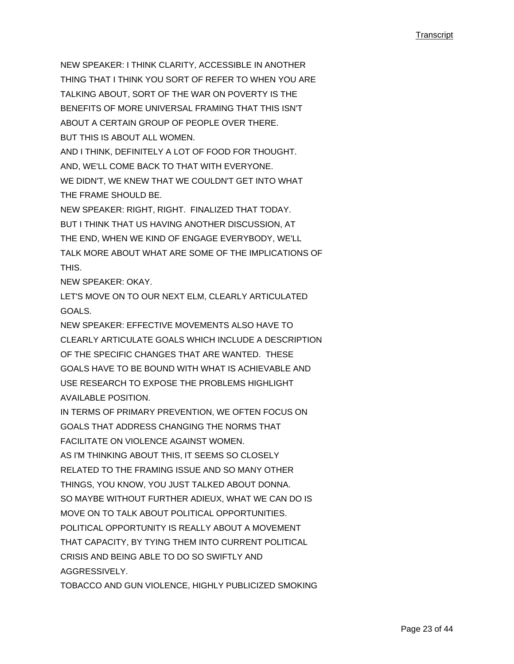NEW SPEAKER: I THINK CLARITY, ACCESSIBLE IN ANOTHER THING THAT I THINK YOU SORT OF REFER TO WHEN YOU ARE TALKING ABOUT, SORT OF THE WAR ON POVERTY IS THE BENEFITS OF MORE UNIVERSAL FRAMING THAT THIS ISN'T ABOUT A CERTAIN GROUP OF PEOPLE OVER THERE. BUT THIS IS ABOUT ALL WOMEN. AND I THINK, DEFINITELY A LOT OF FOOD FOR THOUGHT.

AND, WE'LL COME BACK TO THAT WITH EVERYONE. WE DIDN'T, WE KNEW THAT WE COULDN'T GET INTO WHAT THE FRAME SHOULD BE.

NEW SPEAKER: RIGHT, RIGHT. FINALIZED THAT TODAY. BUT I THINK THAT US HAVING ANOTHER DISCUSSION, AT THE END, WHEN WE KIND OF ENGAGE EVERYBODY, WE'LL TALK MORE ABOUT WHAT ARE SOME OF THE IMPLICATIONS OF THIS.

NEW SPEAKER: OKAY.

LET'S MOVE ON TO OUR NEXT ELM, CLEARLY ARTICULATED GOALS.

NEW SPEAKER: EFFECTIVE MOVEMENTS ALSO HAVE TO CLEARLY ARTICULATE GOALS WHICH INCLUDE A DESCRIPTION OF THE SPECIFIC CHANGES THAT ARE WANTED. THESE GOALS HAVE TO BE BOUND WITH WHAT IS ACHIEVABLE AND USE RESEARCH TO EXPOSE THE PROBLEMS HIGHLIGHT AVAILABLE POSITION.

IN TERMS OF PRIMARY PREVENTION, WE OFTEN FOCUS ON GOALS THAT ADDRESS CHANGING THE NORMS THAT FACILITATE ON VIOLENCE AGAINST WOMEN. AS I'M THINKING ABOUT THIS, IT SEEMS SO CLOSELY RELATED TO THE FRAMING ISSUE AND SO MANY OTHER THINGS, YOU KNOW, YOU JUST TALKED ABOUT DONNA. SO MAYBE WITHOUT FURTHER ADIEUX, WHAT WE CAN DO IS MOVE ON TO TALK ABOUT POLITICAL OPPORTUNITIES. POLITICAL OPPORTUNITY IS REALLY ABOUT A MOVEMENT THAT CAPACITY, BY TYING THEM INTO CURRENT POLITICAL CRISIS AND BEING ABLE TO DO SO SWIFTLY AND AGGRESSIVELY.

TOBACCO AND GUN VIOLENCE, HIGHLY PUBLICIZED SMOKING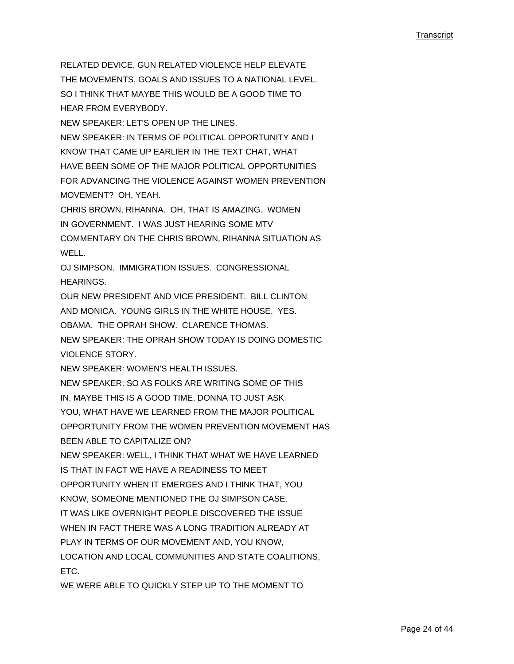RELATED DEVICE, GUN RELATED VIOLENCE HELP ELEVATE THE MOVEMENTS, GOALS AND ISSUES TO A NATIONAL LEVEL. SO I THINK THAT MAYBE THIS WOULD BE A GOOD TIME TO HEAR FROM EVERYBODY.

NEW SPEAKER: LET'S OPEN UP THE LINES.

NEW SPEAKER: IN TERMS OF POLITICAL OPPORTUNITY AND I KNOW THAT CAME UP EARLIER IN THE TEXT CHAT, WHAT HAVE BEEN SOME OF THE MAJOR POLITICAL OPPORTUNITIES FOR ADVANCING THE VIOLENCE AGAINST WOMEN PREVENTION MOVEMENT? OH, YEAH.

CHRIS BROWN, RIHANNA. OH, THAT IS AMAZING. WOMEN IN GOVERNMENT. I WAS JUST HEARING SOME MTV COMMENTARY ON THE CHRIS BROWN, RIHANNA SITUATION AS WELL.

OJ SIMPSON. IMMIGRATION ISSUES. CONGRESSIONAL **HEARINGS** 

OUR NEW PRESIDENT AND VICE PRESIDENT. BILL CLINTON AND MONICA. YOUNG GIRLS IN THE WHITE HOUSE. YES. OBAMA. THE OPRAH SHOW. CLARENCE THOMAS. NEW SPEAKER: THE OPRAH SHOW TODAY IS DOING DOMESTIC VIOLENCE STORY.

NEW SPEAKER: WOMEN'S HEALTH ISSUES.

NEW SPEAKER: SO AS FOLKS ARE WRITING SOME OF THIS

IN, MAYBE THIS IS A GOOD TIME, DONNA TO JUST ASK

YOU, WHAT HAVE WE LEARNED FROM THE MAJOR POLITICAL

OPPORTUNITY FROM THE WOMEN PREVENTION MOVEMENT HAS BEEN ABLE TO CAPITALIZE ON?

NEW SPEAKER: WELL, I THINK THAT WHAT WE HAVE LEARNED IS THAT IN FACT WE HAVE A READINESS TO MEET

OPPORTUNITY WHEN IT EMERGES AND I THINK THAT, YOU

KNOW, SOMEONE MENTIONED THE OJ SIMPSON CASE.

IT WAS LIKE OVERNIGHT PEOPLE DISCOVERED THE ISSUE

WHEN IN FACT THERE WAS A LONG TRADITION ALREADY AT

PLAY IN TERMS OF OUR MOVEMENT AND, YOU KNOW,

LOCATION AND LOCAL COMMUNITIES AND STATE COALITIONS, ETC.

WE WERE ABLE TO QUICKLY STEP UP TO THE MOMENT TO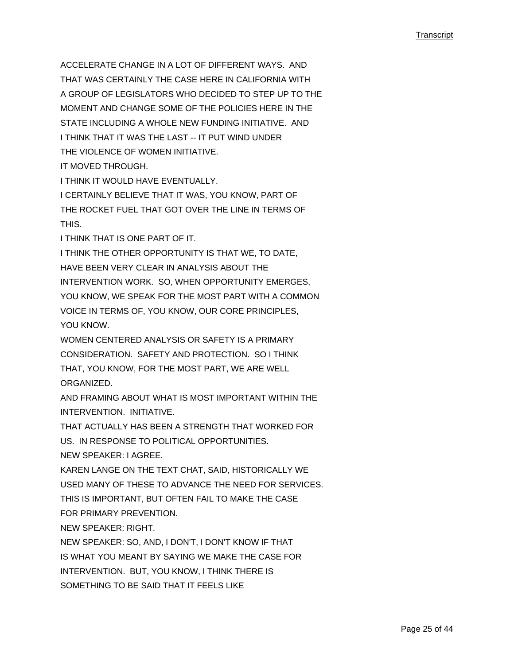ACCELERATE CHANGE IN A LOT OF DIFFERENT WAYS. AND THAT WAS CERTAINLY THE CASE HERE IN CALIFORNIA WITH A GROUP OF LEGISLATORS WHO DECIDED TO STEP UP TO THE MOMENT AND CHANGE SOME OF THE POLICIES HERE IN THE STATE INCLUDING A WHOLE NEW FUNDING INITIATIVE. AND I THINK THAT IT WAS THE LAST -- IT PUT WIND UNDER THE VIOLENCE OF WOMEN INITIATIVE.

IT MOVED THROUGH.

I THINK IT WOULD HAVE EVENTUALLY.

I CERTAINLY BELIEVE THAT IT WAS, YOU KNOW, PART OF THE ROCKET FUEL THAT GOT OVER THE LINE IN TERMS OF **THIS** 

I THINK THAT IS ONE PART OF IT.

I THINK THE OTHER OPPORTUNITY IS THAT WE, TO DATE, HAVE BEEN VERY CLEAR IN ANALYSIS ABOUT THE INTERVENTION WORK. SO, WHEN OPPORTUNITY EMERGES, YOU KNOW, WE SPEAK FOR THE MOST PART WITH A COMMON VOICE IN TERMS OF, YOU KNOW, OUR CORE PRINCIPLES, YOU KNOW

WOMEN CENTERED ANALYSIS OR SAFETY IS A PRIMARY CONSIDERATION. SAFETY AND PROTECTION. SO I THINK THAT, YOU KNOW, FOR THE MOST PART, WE ARE WELL ORGANIZED.

AND FRAMING ABOUT WHAT IS MOST IMPORTANT WITHIN THE INTERVENTION. INITIATIVE.

THAT ACTUALLY HAS BEEN A STRENGTH THAT WORKED FOR US. IN RESPONSE TO POLITICAL OPPORTUNITIES. NEW SPEAKER: I AGREE.

KAREN LANGE ON THE TEXT CHAT, SAID, HISTORICALLY WE USED MANY OF THESE TO ADVANCE THE NEED FOR SERVICES. THIS IS IMPORTANT, BUT OFTEN FAIL TO MAKE THE CASE FOR PRIMARY PREVENTION.

NEW SPEAKER: RIGHT.

NEW SPEAKER: SO, AND, I DON'T, I DON'T KNOW IF THAT IS WHAT YOU MEANT BY SAYING WE MAKE THE CASE FOR INTERVENTION. BUT, YOU KNOW, I THINK THERE IS SOMETHING TO BE SAID THAT IT FEELS LIKE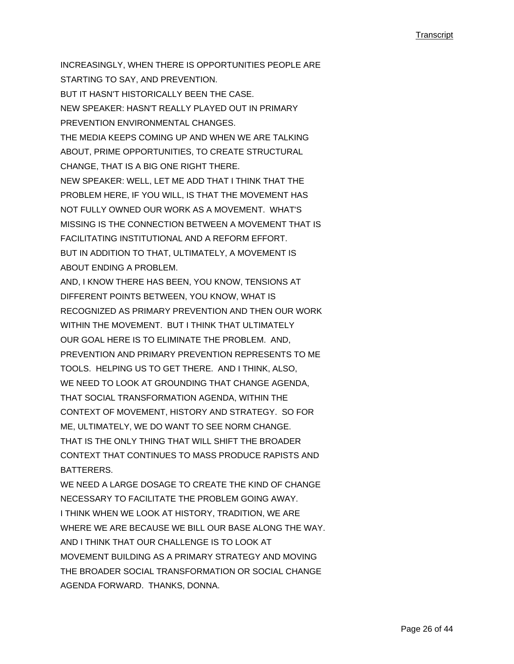INCREASINGLY, WHEN THERE IS OPPORTUNITIES PEOPLE ARE STARTING TO SAY, AND PREVENTION. BUT IT HASN'T HISTORICALLY BEEN THE CASE. NEW SPEAKER: HASN'T REALLY PLAYED OUT IN PRIMARY PREVENTION ENVIRONMENTAL CHANGES. THE MEDIA KEEPS COMING UP AND WHEN WE ARE TALKING ABOUT, PRIME OPPORTUNITIES, TO CREATE STRUCTURAL CHANGE, THAT IS A BIG ONE RIGHT THERE. NEW SPEAKER: WELL, LET ME ADD THAT I THINK THAT THE PROBLEM HERE, IF YOU WILL, IS THAT THE MOVEMENT HAS NOT FULLY OWNED OUR WORK AS A MOVEMENT. WHAT'S MISSING IS THE CONNECTION BETWEEN A MOVEMENT THAT IS FACILITATING INSTITUTIONAL AND A REFORM EFFORT. BUT IN ADDITION TO THAT, ULTIMATELY, A MOVEMENT IS ABOUT ENDING A PROBLEM. AND, I KNOW THERE HAS BEEN, YOU KNOW, TENSIONS AT DIFFERENT POINTS BETWEEN, YOU KNOW, WHAT IS RECOGNIZED AS PRIMARY PREVENTION AND THEN OUR WORK WITHIN THE MOVEMENT. BUT I THINK THAT ULTIMATELY OUR GOAL HERE IS TO ELIMINATE THE PROBLEM. AND, PREVENTION AND PRIMARY PREVENTION REPRESENTS TO ME TOOLS. HELPING US TO GET THERE. AND I THINK, ALSO, WE NEED TO LOOK AT GROUNDING THAT CHANGE AGENDA, THAT SOCIAL TRANSFORMATION AGENDA, WITHIN THE CONTEXT OF MOVEMENT, HISTORY AND STRATEGY. SO FOR ME, ULTIMATELY, WE DO WANT TO SEE NORM CHANGE. THAT IS THE ONLY THING THAT WILL SHIFT THE BROADER CONTEXT THAT CONTINUES TO MASS PRODUCE RAPISTS AND **BATTERERS** 

WE NEED A LARGE DOSAGE TO CREATE THE KIND OF CHANGE NECESSARY TO FACILITATE THE PROBLEM GOING AWAY. I THINK WHEN WE LOOK AT HISTORY, TRADITION, WE ARE WHERE WE ARE BECAUSE WE BILL OUR BASE ALONG THE WAY. AND I THINK THAT OUR CHALLENGE IS TO LOOK AT MOVEMENT BUILDING AS A PRIMARY STRATEGY AND MOVING THE BROADER SOCIAL TRANSFORMATION OR SOCIAL CHANGE AGENDA FORWARD. THANKS, DONNA.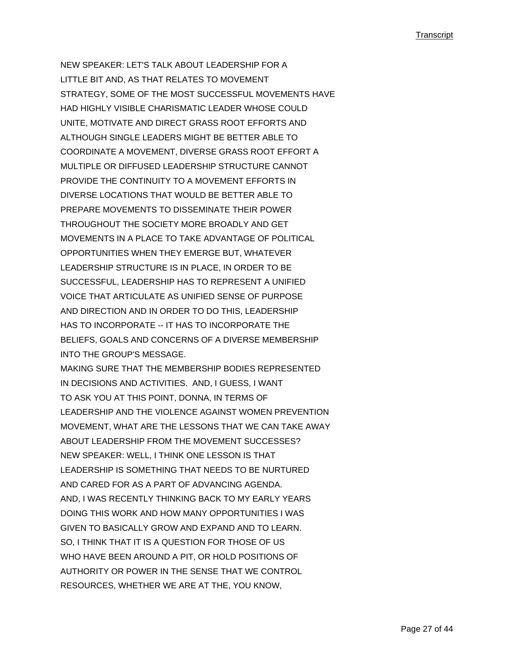NEW SPEAKER: LET'S TALK ABOUT LEADERSHIP FOR A LITTLE BIT AND, AS THAT RELATES TO MOVEMENT STRATEGY, SOME OF THE MOST SUCCESSFUL MOVEMENTS HAVE HAD HIGHLY VISIBLE CHARISMATIC LEADER WHOSE COULD UNITE, MOTIVATE AND DIRECT GRASS ROOT EFFORTS AND ALTHOUGH SINGLE LEADERS MIGHT BE BETTER ABLE TO COORDINATE A MOVEMENT, DIVERSE GRASS ROOT EFFORT A MULTIPLE OR DIFFUSED LEADERSHIP STRUCTURE CANNOT PROVIDE THE CONTINUITY TO A MOVEMENT EFFORTS IN DIVERSE LOCATIONS THAT WOULD BE BETTER ABLE TO PREPARE MOVEMENTS TO DISSEMINATE THEIR POWER THROUGHOUT THE SOCIETY MORE BROADLY AND GET MOVEMENTS IN A PLACE TO TAKE ADVANTAGE OF POLITICAL OPPORTUNITIES WHEN THEY EMERGE BUT, WHATEVER LEADERSHIP STRUCTURE IS IN PLACE, IN ORDER TO BE SUCCESSFUL, LEADERSHIP HAS TO REPRESENT A UNIFIED VOICE THAT ARTICULATE AS UNIFIED SENSE OF PURPOSE AND DIRECTION AND IN ORDER TO DO THIS, LEADERSHIP HAS TO INCORPORATE -- IT HAS TO INCORPORATE THE BELIEFS, GOALS AND CONCERNS OF A DIVERSE MEMBERSHIP INTO THE GROUP'S MESSAGE. MAKING SURE THAT THE MEMBERSHIP BODIES REPRESENTED IN DECISIONS AND ACTIVITIES. AND, I GUESS, I WANT TO ASK YOU AT THIS POINT, DONNA, IN TERMS OF LEADERSHIP AND THE VIOLENCE AGAINST WOMEN PREVENTION MOVEMENT, WHAT ARE THE LESSONS THAT WE CAN TAKE AWAY ABOUT LEADERSHIP FROM THE MOVEMENT SUCCESSES? NEW SPEAKER: WELL, I THINK ONE LESSON IS THAT LEADERSHIP IS SOMETHING THAT NEEDS TO BE NURTURED AND CARED FOR AS A PART OF ADVANCING AGENDA. AND, I WAS RECENTLY THINKING BACK TO MY EARLY YEARS DOING THIS WORK AND HOW MANY OPPORTUNITIES I WAS GIVEN TO BASICALLY GROW AND EXPAND AND TO LEARN. SO, I THINK THAT IT IS A QUESTION FOR THOSE OF US WHO HAVE BEEN AROUND A PIT, OR HOLD POSITIONS OF AUTHORITY OR POWER IN THE SENSE THAT WE CONTROL RESOURCES, WHETHER WE ARE AT THE, YOU KNOW,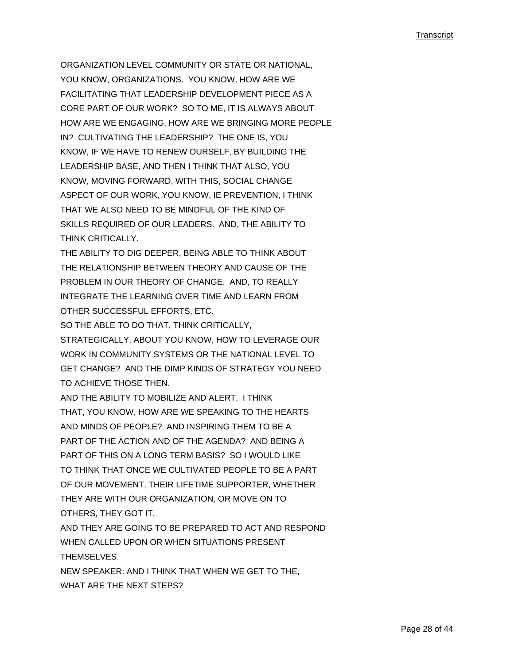ORGANIZATION LEVEL COMMUNITY OR STATE OR NATIONAL, YOU KNOW, ORGANIZATIONS. YOU KNOW, HOW ARE WE FACILITATING THAT LEADERSHIP DEVELOPMENT PIECE AS A CORE PART OF OUR WORK? SO TO ME, IT IS ALWAYS ABOUT HOW ARE WE ENGAGING, HOW ARE WE BRINGING MORE PEOPLE IN? CULTIVATING THE LEADERSHIP? THE ONE IS, YOU KNOW, IF WE HAVE TO RENEW OURSELF, BY BUILDING THE LEADERSHIP BASE, AND THEN I THINK THAT ALSO, YOU KNOW, MOVING FORWARD, WITH THIS, SOCIAL CHANGE ASPECT OF OUR WORK, YOU KNOW, IE PREVENTION, I THINK THAT WE ALSO NEED TO BE MINDFUL OF THE KIND OF SKILLS REQUIRED OF OUR LEADERS. AND, THE ABILITY TO THINK CRITICALLY.

THE ABILITY TO DIG DEEPER, BEING ABLE TO THINK ABOUT THE RELATIONSHIP BETWEEN THEORY AND CAUSE OF THE PROBLEM IN OUR THEORY OF CHANGE. AND, TO REALLY INTEGRATE THE LEARNING OVER TIME AND LEARN FROM OTHER SUCCESSFUL EFFORTS, ETC.

SO THE ABLE TO DO THAT, THINK CRITICALLY, STRATEGICALLY, ABOUT YOU KNOW, HOW TO LEVERAGE OUR WORK IN COMMUNITY SYSTEMS OR THE NATIONAL LEVEL TO GET CHANGE? AND THE DIMP KINDS OF STRATEGY YOU NEED TO ACHIEVE THOSE THEN.

AND THE ABILITY TO MOBILIZE AND ALERT. I THINK THAT, YOU KNOW, HOW ARE WE SPEAKING TO THE HEARTS AND MINDS OF PEOPLE? AND INSPIRING THEM TO BE A PART OF THE ACTION AND OF THE AGENDA? AND BEING A PART OF THIS ON A LONG TERM BASIS? SO I WOULD LIKE TO THINK THAT ONCE WE CULTIVATED PEOPLE TO BE A PART OF OUR MOVEMENT, THEIR LIFETIME SUPPORTER, WHETHER THEY ARE WITH OUR ORGANIZATION, OR MOVE ON TO OTHERS, THEY GOT IT.

AND THEY ARE GOING TO BE PREPARED TO ACT AND RESPOND WHEN CALLED UPON OR WHEN SITUATIONS PRESENT THEMSELVES.

NEW SPEAKER: AND I THINK THAT WHEN WE GET TO THE, WHAT ARE THE NEXT STEPS?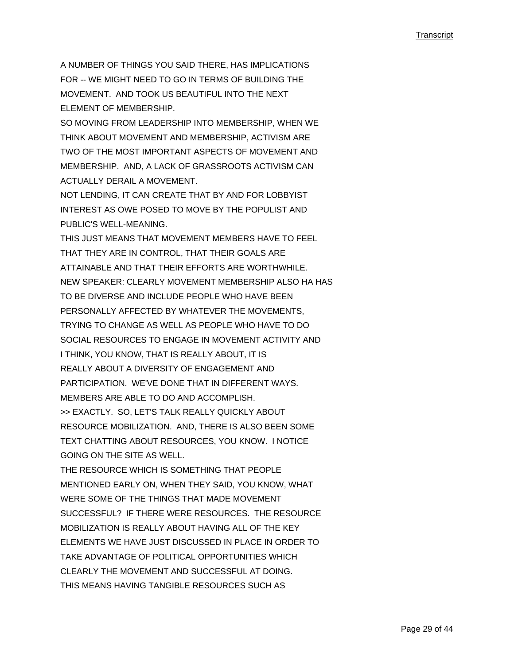A NUMBER OF THINGS YOU SAID THERE, HAS IMPLICATIONS FOR -- WE MIGHT NEED TO GO IN TERMS OF BUILDING THE MOVEMENT. AND TOOK US BEAUTIFUL INTO THE NEXT. ELEMENT OF MEMBERSHIP.

SO MOVING FROM LEADERSHIP INTO MEMBERSHIP, WHEN WE THINK ABOUT MOVEMENT AND MEMBERSHIP, ACTIVISM ARE TWO OF THE MOST IMPORTANT ASPECTS OF MOVEMENT AND MEMBERSHIP. AND, A LACK OF GRASSROOTS ACTIVISM CAN ACTUALLY DERAIL A MOVEMENT.

NOT LENDING, IT CAN CREATE THAT BY AND FOR LOBBYIST INTEREST AS OWE POSED TO MOVE BY THE POPULIST AND PUBLIC'S WELL-MEANING.

THIS JUST MEANS THAT MOVEMENT MEMBERS HAVE TO FEEL THAT THEY ARE IN CONTROL, THAT THEIR GOALS ARE ATTAINABLE AND THAT THEIR EFFORTS ARE WORTHWHILE. NEW SPEAKER: CLEARLY MOVEMENT MEMBERSHIP ALSO HA HAS TO BE DIVERSE AND INCLUDE PEOPLE WHO HAVE BEEN PERSONALLY AFFECTED BY WHATEVER THE MOVEMENTS, TRYING TO CHANGE AS WELL AS PEOPLE WHO HAVE TO DO SOCIAL RESOURCES TO ENGAGE IN MOVEMENT ACTIVITY AND I THINK, YOU KNOW, THAT IS REALLY ABOUT, IT IS REALLY ABOUT A DIVERSITY OF ENGAGEMENT AND PARTICIPATION. WE'VE DONE THAT IN DIFFERENT WAYS. MEMBERS ARE ABLE TO DO AND ACCOMPLISH. >> EXACTLY. SO, LET'S TALK REALLY QUICKLY ABOUT RESOURCE MOBILIZATION. AND, THERE IS ALSO BEEN SOME TEXT CHATTING ABOUT RESOURCES, YOU KNOW. I NOTICE GOING ON THE SITE AS WELL. THE RESOURCE WHICH IS SOMETHING THAT PEOPLE MENTIONED EARLY ON, WHEN THEY SAID, YOU KNOW, WHAT WERE SOME OF THE THINGS THAT MADE MOVEMENT SUCCESSFUL? IF THERE WERE RESOURCES. THE RESOURCE MOBILIZATION IS REALLY ABOUT HAVING ALL OF THE KEY ELEMENTS WE HAVE JUST DISCUSSED IN PLACE IN ORDER TO TAKE ADVANTAGE OF POLITICAL OPPORTUNITIES WHICH CLEARLY THE MOVEMENT AND SUCCESSFUL AT DOING. THIS MEANS HAVING TANGIBLE RESOURCES SUCH AS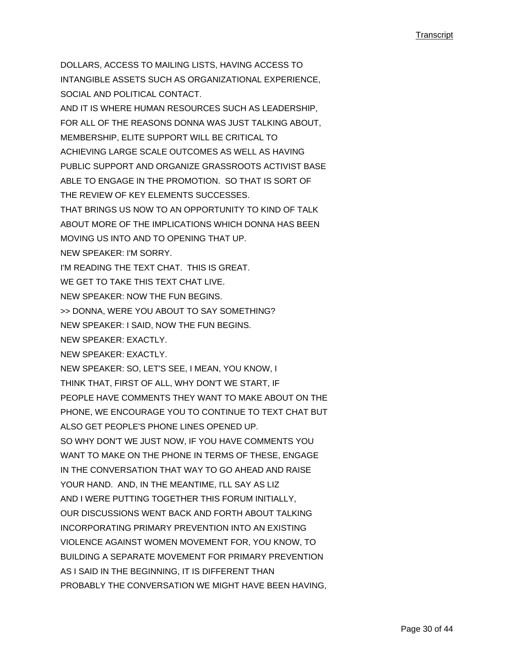DOLLARS, ACCESS TO MAILING LISTS, HAVING ACCESS TO INTANGIBLE ASSETS SUCH AS ORGANIZATIONAL EXPERIENCE, SOCIAL AND POLITICAL CONTACT. AND IT IS WHERE HUMAN RESOURCES SUCH AS LEADERSHIP, FOR ALL OF THE REASONS DONNA WAS JUST TALKING ABOUT, MEMBERSHIP, ELITE SUPPORT WILL BE CRITICAL TO ACHIEVING LARGE SCALE OUTCOMES AS WELL AS HAVING PUBLIC SUPPORT AND ORGANIZE GRASSROOTS ACTIVIST BASE ABLE TO ENGAGE IN THE PROMOTION. SO THAT IS SORT OF THE REVIEW OF KEY ELEMENTS SUCCESSES. THAT BRINGS US NOW TO AN OPPORTUNITY TO KIND OF TALK ABOUT MORE OF THE IMPLICATIONS WHICH DONNA HAS BEEN MOVING US INTO AND TO OPENING THAT UP. NEW SPEAKER: I'M SORRY. I'M READING THE TEXT CHAT. THIS IS GREAT. WE GET TO TAKE THIS TEXT CHAT LIVE. NEW SPEAKER: NOW THE FUN BEGINS. >> DONNA, WERE YOU ABOUT TO SAY SOMETHING? NEW SPEAKER: I SAID, NOW THE FUN BEGINS. NEW SPEAKER: EXACTLY. NEW SPEAKER: EXACTLY. NEW SPEAKER: SO, LET'S SEE, I MEAN, YOU KNOW, I THINK THAT, FIRST OF ALL, WHY DON'T WE START, IF PEOPLE HAVE COMMENTS THEY WANT TO MAKE ABOUT ON THE PHONE, WE ENCOURAGE YOU TO CONTINUE TO TEXT CHAT BUT ALSO GET PEOPLE'S PHONE LINES OPENED UP. SO WHY DON'T WE JUST NOW, IF YOU HAVE COMMENTS YOU WANT TO MAKE ON THE PHONE IN TERMS OF THESE, ENGAGE IN THE CONVERSATION THAT WAY TO GO AHEAD AND RAISE YOUR HAND. AND, IN THE MEANTIME, I'LL SAY AS LIZ AND I WERE PUTTING TOGETHER THIS FORUM INITIALLY, OUR DISCUSSIONS WENT BACK AND FORTH ABOUT TALKING INCORPORATING PRIMARY PREVENTION INTO AN EXISTING VIOLENCE AGAINST WOMEN MOVEMENT FOR, YOU KNOW, TO BUILDING A SEPARATE MOVEMENT FOR PRIMARY PREVENTION AS I SAID IN THE BEGINNING, IT IS DIFFERENT THAN PROBABLY THE CONVERSATION WE MIGHT HAVE BEEN HAVING,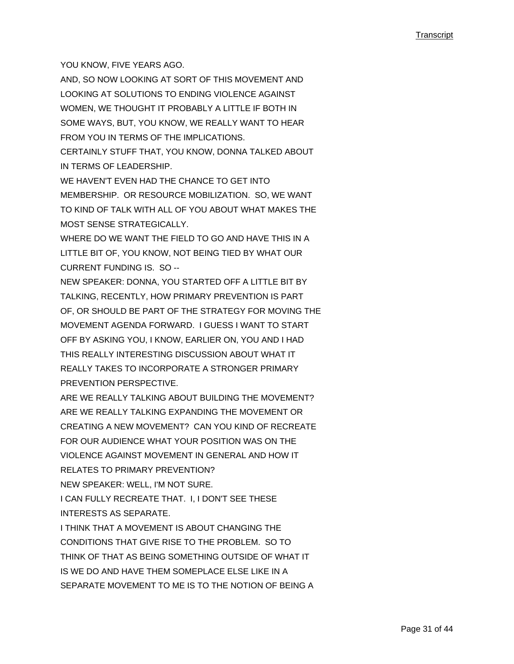YOU KNOW, FIVE YEARS AGO.

AND, SO NOW LOOKING AT SORT OF THIS MOVEMENT AND LOOKING AT SOLUTIONS TO ENDING VIOLENCE AGAINST WOMEN, WE THOUGHT IT PROBABLY A LITTLE IF BOTH IN SOME WAYS, BUT, YOU KNOW, WE REALLY WANT TO HEAR FROM YOU IN TERMS OF THE IMPLICATIONS. CERTAINLY STUFF THAT, YOU KNOW, DONNA TALKED ABOUT

IN TERMS OF LEADERSHIP.

WE HAVEN'T EVEN HAD THE CHANCE TO GET INTO MEMBERSHIP. OR RESOURCE MOBILIZATION. SO, WE WANT TO KIND OF TALK WITH ALL OF YOU ABOUT WHAT MAKES THE MOST SENSE STRATEGICALLY.

WHERE DO WE WANT THE FIELD TO GO AND HAVE THIS IN A LITTLE BIT OF, YOU KNOW, NOT BEING TIED BY WHAT OUR CURRENT FUNDING IS. SO --

NEW SPEAKER: DONNA, YOU STARTED OFF A LITTLE BIT BY TALKING, RECENTLY, HOW PRIMARY PREVENTION IS PART OF, OR SHOULD BE PART OF THE STRATEGY FOR MOVING THE MOVEMENT AGENDA FORWARD. I GUESS I WANT TO START OFF BY ASKING YOU, I KNOW, EARLIER ON, YOU AND I HAD THIS REALLY INTERESTING DISCUSSION ABOUT WHAT IT REALLY TAKES TO INCORPORATE A STRONGER PRIMARY PREVENTION PERSPECTIVE.

ARE WE REALLY TALKING ABOUT BUILDING THE MOVEMENT? ARE WE REALLY TALKING EXPANDING THE MOVEMENT OR CREATING A NEW MOVEMENT? CAN YOU KIND OF RECREATE FOR OUR AUDIENCE WHAT YOUR POSITION WAS ON THE VIOLENCE AGAINST MOVEMENT IN GENERAL AND HOW IT RELATES TO PRIMARY PREVENTION? NEW SPEAKER: WELL, I'M NOT SURE.

I CAN FULLY RECREATE THAT. I, I DON'T SEE THESE INTERESTS AS SEPARATE.

I THINK THAT A MOVEMENT IS ABOUT CHANGING THE CONDITIONS THAT GIVE RISE TO THE PROBLEM. SO TO THINK OF THAT AS BEING SOMETHING OUTSIDE OF WHAT IT IS WE DO AND HAVE THEM SOMEPLACE ELSE LIKE IN A SEPARATE MOVEMENT TO ME IS TO THE NOTION OF BEING A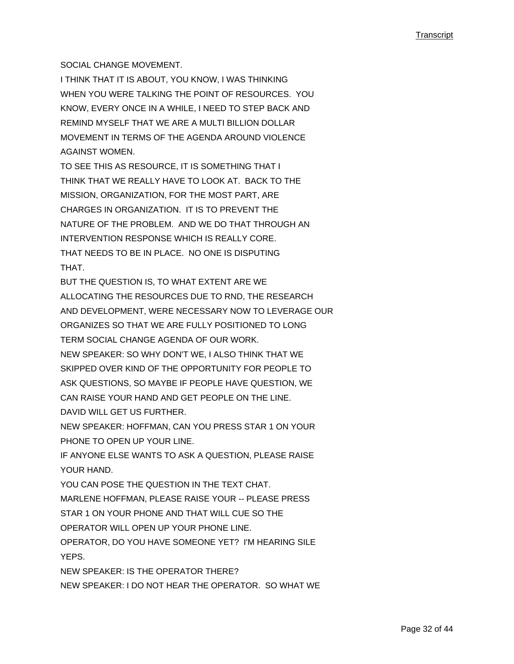### SOCIAL CHANGE MOVEMENT.

I THINK THAT IT IS ABOUT, YOU KNOW, I WAS THINKING WHEN YOU WERE TALKING THE POINT OF RESOURCES. YOU KNOW, EVERY ONCE IN A WHILE, I NEED TO STEP BACK AND REMIND MYSELF THAT WE ARE A MULTI BILLION DOLLAR MOVEMENT IN TERMS OF THE AGENDA AROUND VIOLENCE AGAINST WOMEN.

TO SEE THIS AS RESOURCE, IT IS SOMETHING THAT I THINK THAT WE REALLY HAVE TO LOOK AT. BACK TO THE MISSION, ORGANIZATION, FOR THE MOST PART, ARE CHARGES IN ORGANIZATION. IT IS TO PREVENT THE NATURE OF THE PROBLEM. AND WE DO THAT THROUGH AN INTERVENTION RESPONSE WHICH IS REALLY CORE. THAT NEEDS TO BE IN PLACE. NO ONE IS DISPUTING THAT.

BUT THE QUESTION IS, TO WHAT EXTENT ARE WE ALLOCATING THE RESOURCES DUE TO RND, THE RESEARCH AND DEVELOPMENT, WERE NECESSARY NOW TO LEVERAGE OUR ORGANIZES SO THAT WE ARE FULLY POSITIONED TO LONG TERM SOCIAL CHANGE AGENDA OF OUR WORK. NEW SPEAKER: SO WHY DON'T WE, I ALSO THINK THAT WE SKIPPED OVER KIND OF THE OPPORTUNITY FOR PEOPLE TO ASK QUESTIONS, SO MAYBE IF PEOPLE HAVE QUESTION, WE CAN RAISE YOUR HAND AND GET PEOPLE ON THE LINE. DAVID WILL GET US FURTHER.

NEW SPEAKER: HOFFMAN, CAN YOU PRESS STAR 1 ON YOUR PHONE TO OPEN UP YOUR LINE.

IF ANYONE ELSE WANTS TO ASK A QUESTION, PLEASE RAISE YOUR HAND.

YOU CAN POSE THE QUESTION IN THE TEXT CHAT.

MARLENE HOFFMAN, PLEASE RAISE YOUR -- PLEASE PRESS

STAR 1 ON YOUR PHONE AND THAT WILL CUE SO THE

OPERATOR WILL OPEN UP YOUR PHONE LINE.

OPERATOR, DO YOU HAVE SOMEONE YET? I'M HEARING SILE **YFPS** 

NEW SPEAKER: IS THE OPERATOR THERE?

NEW SPEAKER: I DO NOT HEAR THE OPERATOR. SO WHAT WE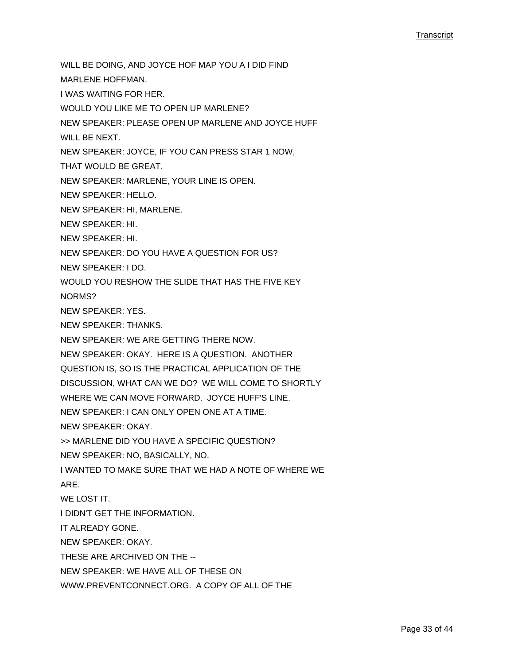WILL BE DOING, AND JOYCE HOF MAP YOU A I DID FIND

MARLENE HOFFMAN.

I WAS WAITING FOR HER.

WOULD YOU LIKE ME TO OPEN UP MARLENE?

NEW SPEAKER: PLEASE OPEN UP MARLENE AND JOYCE HUFF

WILL BE NEXT.

NEW SPEAKER: JOYCE, IF YOU CAN PRESS STAR 1 NOW,

THAT WOULD BE GREAT.

NEW SPEAKER: MARLENE, YOUR LINE IS OPEN.

NEW SPEAKER: HELLO.

NEW SPEAKER: HI, MARLENE.

NEW SPEAKER: HI.

NEW SPEAKER: HI.

NEW SPEAKER: DO YOU HAVE A QUESTION FOR US?

NEW SPEAKER: I DO.

WOULD YOU RESHOW THE SLIDE THAT HAS THE FIVE KEY

NORMS?

NEW SPEAKER: YES.

NEW SPEAKER: THANKS.

NEW SPEAKER: WE ARE GETTING THERE NOW.

NEW SPEAKER: OKAY. HERE IS A QUESTION. ANOTHER

QUESTION IS, SO IS THE PRACTICAL APPLICATION OF THE

DISCUSSION, WHAT CAN WE DO? WE WILL COME TO SHORTLY

WHERE WE CAN MOVE FORWARD. JOYCE HUFF'S LINE.

NEW SPEAKER: I CAN ONLY OPEN ONE AT A TIME.

NEW SPEAKER: OKAY.

>> MARLENE DID YOU HAVE A SPECIFIC QUESTION?

NEW SPEAKER: NO, BASICALLY, NO.

I WANTED TO MAKE SURE THAT WE HAD A NOTE OF WHERE WE

ARE.

WE LOST IT.

I DIDN'T GET THE INFORMATION.

IT ALREADY GONE.

NEW SPEAKER: OKAY.

THESE ARE ARCHIVED ON THE --

NEW SPEAKER: WE HAVE ALL OF THESE ON

WWW.PREVENTCONNECT.ORG. A COPY OF ALL OF THE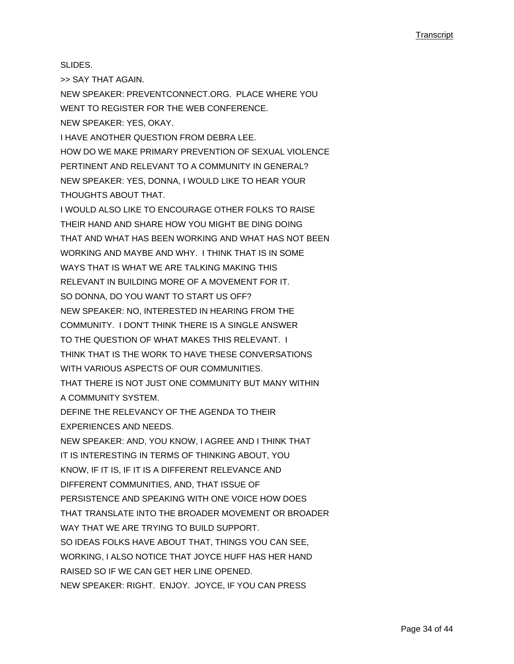SLIDES.

>> SAY THAT AGAIN.

NEW SPEAKER: PREVENTCONNECT.ORG. PLACE WHERE YOU WENT TO REGISTER FOR THE WEB CONFERENCE. NEW SPEAKER: YES, OKAY.

I HAVE ANOTHER QUESTION FROM DEBRA LEE. HOW DO WE MAKE PRIMARY PREVENTION OF SEXUAL VIOLENCE PERTINENT AND RELEVANT TO A COMMUNITY IN GENERAL? NEW SPEAKER: YES, DONNA, I WOULD LIKE TO HEAR YOUR THOUGHTS ABOUT THAT.

I WOULD ALSO LIKE TO ENCOURAGE OTHER FOLKS TO RAISE THEIR HAND AND SHARE HOW YOU MIGHT BE DING DOING THAT AND WHAT HAS BEEN WORKING AND WHAT HAS NOT BEEN WORKING AND MAYBE AND WHY. I THINK THAT IS IN SOME WAYS THAT IS WHAT WE ARE TALKING MAKING THIS RELEVANT IN BUILDING MORE OF A MOVEMENT FOR IT. SO DONNA, DO YOU WANT TO START US OFF? NEW SPEAKER: NO, INTERESTED IN HEARING FROM THE COMMUNITY. I DON'T THINK THERE IS A SINGLE ANSWER TO THE QUESTION OF WHAT MAKES THIS RELEVANT. I THINK THAT IS THE WORK TO HAVE THESE CONVERSATIONS WITH VARIOUS ASPECTS OF OUR COMMUNITIES. THAT THERE IS NOT JUST ONE COMMUNITY BUT MANY WITHIN A COMMUNITY SYSTEM. DEFINE THE RELEVANCY OF THE AGENDA TO THEIR EXPERIENCES AND NEEDS. NEW SPEAKER: AND, YOU KNOW, I AGREE AND I THINK THAT IT IS INTERESTING IN TERMS OF THINKING ABOUT, YOU KNOW, IF IT IS, IF IT IS A DIFFERENT RELEVANCE AND DIFFERENT COMMUNITIES, AND, THAT ISSUE OF PERSISTENCE AND SPEAKING WITH ONE VOICE HOW DOES THAT TRANSLATE INTO THE BROADER MOVEMENT OR BROADER WAY THAT WE ARE TRYING TO BUILD SUPPORT. SO IDEAS FOLKS HAVE ABOUT THAT, THINGS YOU CAN SEE, WORKING, I ALSO NOTICE THAT JOYCE HUFF HAS HER HAND RAISED SO IF WE CAN GET HER LINE OPENED. NEW SPEAKER: RIGHT. ENJOY. JOYCE, IF YOU CAN PRESS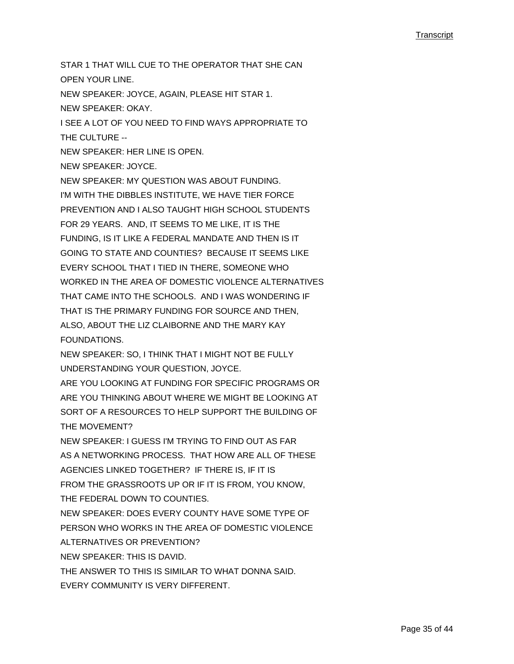STAR 1 THAT WILL CUE TO THE OPERATOR THAT SHE CAN OPEN YOUR LINE. NEW SPEAKER: JOYCE, AGAIN, PLEASE HIT STAR 1. NEW SPEAKER: OKAY. I SEE A LOT OF YOU NEED TO FIND WAYS APPROPRIATE TO THE CULTURE -- NEW SPEAKER: HER LINE IS OPEN. NEW SPEAKER: JOYCE. NEW SPEAKER: MY QUESTION WAS ABOUT FUNDING. I'M WITH THE DIBBLES INSTITUTE, WE HAVE TIER FORCE PREVENTION AND I ALSO TAUGHT HIGH SCHOOL STUDENTS FOR 29 YEARS. AND, IT SEEMS TO ME LIKE, IT IS THE FUNDING, IS IT LIKE A FEDERAL MANDATE AND THEN IS IT GOING TO STATE AND COUNTIES? BECAUSE IT SEEMS LIKE EVERY SCHOOL THAT I TIED IN THERE, SOMEONE WHO WORKED IN THE AREA OF DOMESTIC VIOLENCE ALTERNATIVES THAT CAME INTO THE SCHOOLS. AND I WAS WONDERING IF THAT IS THE PRIMARY FUNDING FOR SOURCE AND THEN, ALSO, ABOUT THE LIZ CLAIBORNE AND THE MARY KAY FOUNDATIONS. NEW SPEAKER: SO, I THINK THAT I MIGHT NOT BE FULLY UNDERSTANDING YOUR QUESTION, JOYCE. ARE YOU LOOKING AT FUNDING FOR SPECIFIC PROGRAMS OR ARE YOU THINKING ABOUT WHERE WE MIGHT BE LOOKING AT SORT OF A RESOURCES TO HELP SUPPORT THE BUILDING OF THE MOVEMENT? NEW SPEAKER: I GUESS I'M TRYING TO FIND OUT AS FAR AS A NETWORKING PROCESS. THAT HOW ARE ALL OF THESE AGENCIES LINKED TOGETHER? IF THERE IS, IF IT IS FROM THE GRASSROOTS UP OR IF IT IS FROM, YOU KNOW, THE FEDERAL DOWN TO COUNTIES. NEW SPEAKER: DOES EVERY COUNTY HAVE SOME TYPE OF PERSON WHO WORKS IN THE AREA OF DOMESTIC VIOLENCE ALTERNATIVES OR PREVENTION? NEW SPEAKER: THIS IS DAVID. THE ANSWER TO THIS IS SIMILAR TO WHAT DONNA SAID. EVERY COMMUNITY IS VERY DIFFERENT.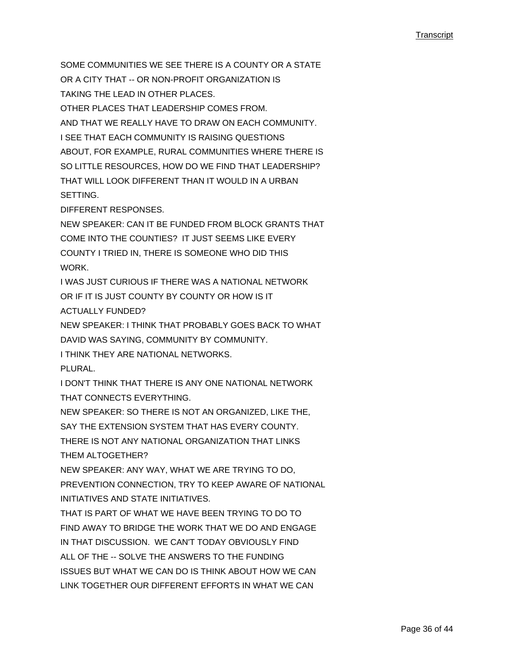SOME COMMUNITIES WE SEE THERE IS A COUNTY OR A STATE OR A CITY THAT -- OR NON-PROFIT ORGANIZATION IS TAKING THE LEAD IN OTHER PLACES. OTHER PLACES THAT LEADERSHIP COMES FROM. AND THAT WE REALLY HAVE TO DRAW ON EACH COMMUNITY. I SEE THAT EACH COMMUNITY IS RAISING QUESTIONS ABOUT, FOR EXAMPLE, RURAL COMMUNITIES WHERE THERE IS SO LITTLE RESOURCES, HOW DO WE FIND THAT LEADERSHIP? THAT WILL LOOK DIFFERENT THAN IT WOULD IN A URBAN SETTING.

DIFFERENT RESPONSES.

NEW SPEAKER: CAN IT BE FUNDED FROM BLOCK GRANTS THAT COME INTO THE COUNTIES? IT JUST SEEMS LIKE EVERY COUNTY I TRIED IN, THERE IS SOMEONE WHO DID THIS WORK.

I WAS JUST CURIOUS IF THERE WAS A NATIONAL NETWORK OR IF IT IS JUST COUNTY BY COUNTY OR HOW IS IT ACTUALLY FUNDED?

NEW SPEAKER: I THINK THAT PROBABLY GOES BACK TO WHAT DAVID WAS SAYING, COMMUNITY BY COMMUNITY.

I THINK THEY ARE NATIONAL NETWORKS.

PLURAL.

I DON'T THINK THAT THERE IS ANY ONE NATIONAL NETWORK THAT CONNECTS EVERYTHING.

NEW SPEAKER: SO THERE IS NOT AN ORGANIZED, LIKE THE,

SAY THE EXTENSION SYSTEM THAT HAS EVERY COUNTY.

THERE IS NOT ANY NATIONAL ORGANIZATION THAT LINKS THEM ALTOGETHER?

NEW SPEAKER: ANY WAY, WHAT WE ARE TRYING TO DO, PREVENTION CONNECTION, TRY TO KEEP AWARE OF NATIONAL INITIATIVES AND STATE INITIATIVES.

THAT IS PART OF WHAT WE HAVE BEEN TRYING TO DO TO FIND AWAY TO BRIDGE THE WORK THAT WE DO AND ENGAGE IN THAT DISCUSSION. WE CAN'T TODAY OBVIOUSLY FIND ALL OF THE -- SOLVE THE ANSWERS TO THE FUNDING ISSUES BUT WHAT WE CAN DO IS THINK ABOUT HOW WE CAN LINK TOGETHER OUR DIFFERENT EFFORTS IN WHAT WE CAN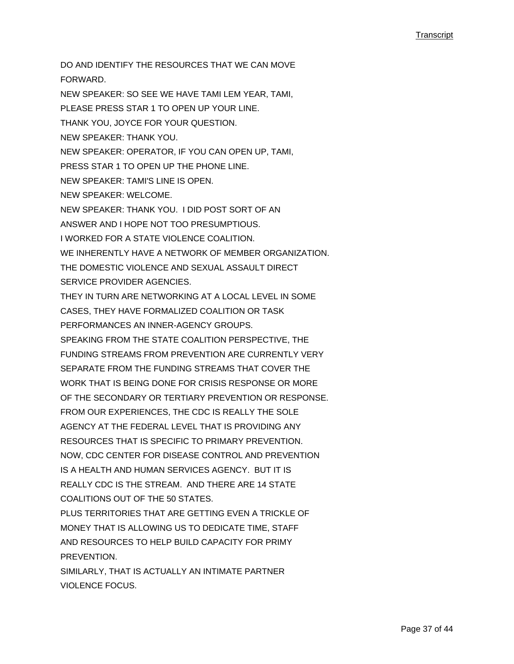DO AND IDENTIFY THE RESOURCES THAT WE CAN MOVE FORWARD. NEW SPEAKER: SO SEE WE HAVE TAMI LEM YEAR, TAMI, PLEASE PRESS STAR 1 TO OPEN UP YOUR LINE. THANK YOU, JOYCE FOR YOUR QUESTION. NEW SPEAKER: THANK YOU. NEW SPEAKER: OPERATOR, IF YOU CAN OPEN UP, TAMI, PRESS STAR 1 TO OPEN UP THE PHONE LINE. NEW SPEAKER: TAMI'S LINE IS OPEN. NEW SPEAKER: WELCOME. NEW SPEAKER: THANK YOU. I DID POST SORT OF AN ANSWER AND I HOPE NOT TOO PRESUMPTIOUS. I WORKED FOR A STATE VIOLENCE COALITION. WE INHERENTLY HAVE A NETWORK OF MEMBER ORGANIZATION. THE DOMESTIC VIOLENCE AND SEXUAL ASSAULT DIRECT SERVICE PROVIDER AGENCIES. THEY IN TURN ARE NETWORKING AT A LOCAL LEVEL IN SOME CASES, THEY HAVE FORMALIZED COALITION OR TASK PERFORMANCES AN INNER-AGENCY GROUPS. SPEAKING FROM THE STATE COALITION PERSPECTIVE, THE FUNDING STREAMS FROM PREVENTION ARE CURRENTLY VERY SEPARATE FROM THE FUNDING STREAMS THAT COVER THE WORK THAT IS BEING DONE FOR CRISIS RESPONSE OR MORE OF THE SECONDARY OR TERTIARY PREVENTION OR RESPONSE. FROM OUR EXPERIENCES, THE CDC IS REALLY THE SOLE AGENCY AT THE FEDERAL LEVEL THAT IS PROVIDING ANY RESOURCES THAT IS SPECIFIC TO PRIMARY PREVENTION. NOW, CDC CENTER FOR DISEASE CONTROL AND PREVENTION IS A HEALTH AND HUMAN SERVICES AGENCY. BUT IT IS REALLY CDC IS THE STREAM. AND THERE ARE 14 STATE COALITIONS OUT OF THE 50 STATES. PLUS TERRITORIES THAT ARE GETTING EVEN A TRICKLE OF MONEY THAT IS ALLOWING US TO DEDICATE TIME, STAFF AND RESOURCES TO HELP BUILD CAPACITY FOR PRIMY PREVENTION. SIMILARLY, THAT IS ACTUALLY AN INTIMATE PARTNER VIOLENCE FOCUS.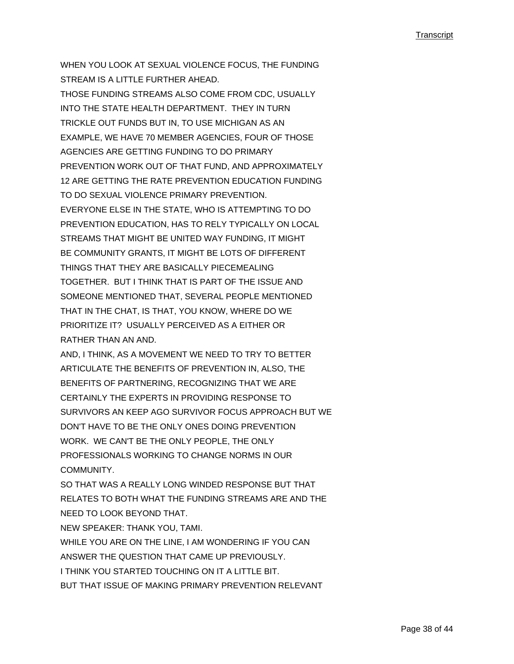WHEN YOU LOOK AT SEXUAL VIOLENCE FOCUS, THE FUNDING STREAM IS A LITTLE FURTHER AHEAD. THOSE FUNDING STREAMS ALSO COME FROM CDC, USUALLY INTO THE STATE HEALTH DEPARTMENT. THEY IN TURN TRICKLE OUT FUNDS BUT IN, TO USE MICHIGAN AS AN EXAMPLE, WE HAVE 70 MEMBER AGENCIES, FOUR OF THOSE AGENCIES ARE GETTING FUNDING TO DO PRIMARY PREVENTION WORK OUT OF THAT FUND, AND APPROXIMATELY 12 ARE GETTING THE RATE PREVENTION EDUCATION FUNDING TO DO SEXUAL VIOLENCE PRIMARY PREVENTION. EVERYONE ELSE IN THE STATE, WHO IS ATTEMPTING TO DO PREVENTION EDUCATION, HAS TO RELY TYPICALLY ON LOCAL STREAMS THAT MIGHT BE UNITED WAY FUNDING, IT MIGHT BE COMMUNITY GRANTS, IT MIGHT BE LOTS OF DIFFERENT THINGS THAT THEY ARE BASICALLY PIECEMEALING TOGETHER. BUT I THINK THAT IS PART OF THE ISSUE AND SOMEONE MENTIONED THAT, SEVERAL PEOPLE MENTIONED THAT IN THE CHAT, IS THAT, YOU KNOW, WHERE DO WE PRIORITIZE IT? USUALLY PERCEIVED AS A EITHER OR RATHER THAN AN AND.

AND, I THINK, AS A MOVEMENT WE NEED TO TRY TO BETTER ARTICULATE THE BENEFITS OF PREVENTION IN, ALSO, THE BENEFITS OF PARTNERING, RECOGNIZING THAT WE ARE CERTAINLY THE EXPERTS IN PROVIDING RESPONSE TO SURVIVORS AN KEEP AGO SURVIVOR FOCUS APPROACH BUT WE DON'T HAVE TO BE THE ONLY ONES DOING PREVENTION WORK. WE CAN'T BE THE ONLY PEOPLE, THE ONLY PROFESSIONALS WORKING TO CHANGE NORMS IN OUR COMMUNITY.

SO THAT WAS A REALLY LONG WINDED RESPONSE BUT THAT RELATES TO BOTH WHAT THE FUNDING STREAMS ARE AND THE NEED TO LOOK BEYOND THAT.

NEW SPEAKER: THANK YOU, TAMI.

WHILE YOU ARE ON THE LINE, I AM WONDERING IF YOU CAN

ANSWER THE QUESTION THAT CAME UP PREVIOUSLY.

I THINK YOU STARTED TOUCHING ON IT A LITTLE BIT.

BUT THAT ISSUE OF MAKING PRIMARY PREVENTION RELEVANT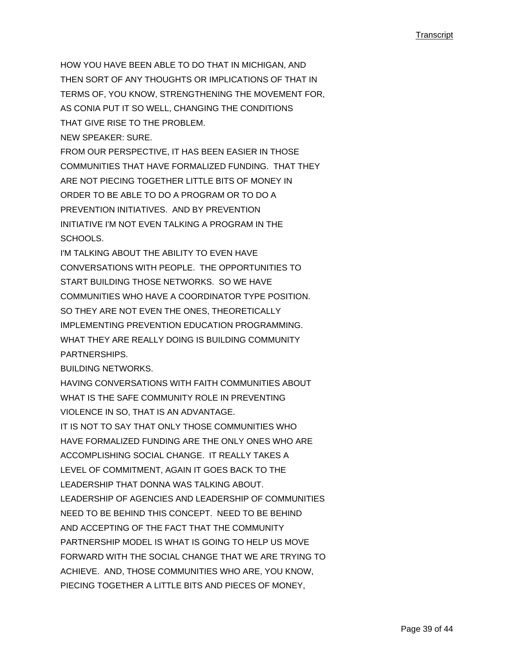HOW YOU HAVE BEEN ABLE TO DO THAT IN MICHIGAN, AND THEN SORT OF ANY THOUGHTS OR IMPLICATIONS OF THAT IN TERMS OF, YOU KNOW, STRENGTHENING THE MOVEMENT FOR, AS CONIA PUT IT SO WELL, CHANGING THE CONDITIONS THAT GIVE RISE TO THE PROBLEM. NEW SPEAKER: SURE.

FROM OUR PERSPECTIVE, IT HAS BEEN EASIER IN THOSE COMMUNITIES THAT HAVE FORMALIZED FUNDING. THAT THEY ARE NOT PIECING TOGETHER LITTLE BITS OF MONEY IN ORDER TO BE ABLE TO DO A PROGRAM OR TO DO A PREVENTION INITIATIVES. AND BY PREVENTION INITIATIVE I'M NOT EVEN TALKING A PROGRAM IN THE SCHOOLS.

I'M TALKING ABOUT THE ABILITY TO EVEN HAVE CONVERSATIONS WITH PEOPLE. THE OPPORTUNITIES TO START BUILDING THOSE NETWORKS. SO WE HAVE COMMUNITIES WHO HAVE A COORDINATOR TYPE POSITION. SO THEY ARE NOT EVEN THE ONES, THEORETICALLY IMPLEMENTING PREVENTION EDUCATION PROGRAMMING. WHAT THEY ARE REALLY DOING IS BUILDING COMMUNITY PARTNERSHIPS.

BUILDING NETWORKS.

HAVING CONVERSATIONS WITH FAITH COMMUNITIES ABOUT WHAT IS THE SAFE COMMUNITY ROLE IN PREVENTING VIOLENCE IN SO, THAT IS AN ADVANTAGE. IT IS NOT TO SAY THAT ONLY THOSE COMMUNITIES WHO HAVE FORMALIZED FUNDING ARE THE ONLY ONES WHO ARE ACCOMPLISHING SOCIAL CHANGE. IT REALLY TAKES A LEVEL OF COMMITMENT, AGAIN IT GOES BACK TO THE LEADERSHIP THAT DONNA WAS TALKING ABOUT. LEADERSHIP OF AGENCIES AND LEADERSHIP OF COMMUNITIES NEED TO BE BEHIND THIS CONCEPT. NEED TO BE BEHIND AND ACCEPTING OF THE FACT THAT THE COMMUNITY PARTNERSHIP MODEL IS WHAT IS GOING TO HELP US MOVE FORWARD WITH THE SOCIAL CHANGE THAT WE ARE TRYING TO ACHIEVE. AND, THOSE COMMUNITIES WHO ARE, YOU KNOW, PIECING TOGETHER A LITTLE BITS AND PIECES OF MONEY,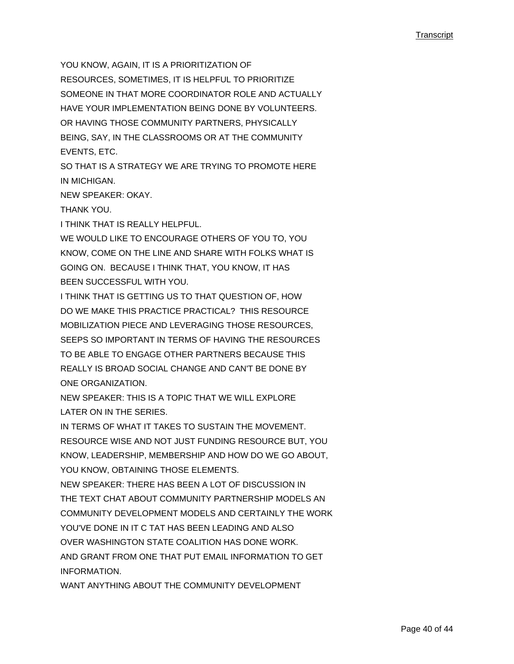YOU KNOW, AGAIN, IT IS A PRIORITIZATION OF RESOURCES, SOMETIMES, IT IS HELPFUL TO PRIORITIZE SOMEONE IN THAT MORE COORDINATOR ROLE AND ACTUALLY HAVE YOUR IMPLEMENTATION BEING DONE BY VOLUNTEERS. OR HAVING THOSE COMMUNITY PARTNERS, PHYSICALLY BEING, SAY, IN THE CLASSROOMS OR AT THE COMMUNITY EVENTS, ETC.

SO THAT IS A STRATEGY WE ARE TRYING TO PROMOTE HERE IN MICHIGAN.

NEW SPEAKER: OKAY.

THANK YOU.

I THINK THAT IS REALLY HELPFUL.

WE WOULD LIKE TO ENCOURAGE OTHERS OF YOU TO, YOU KNOW, COME ON THE LINE AND SHARE WITH FOLKS WHAT IS GOING ON. BECAUSE I THINK THAT, YOU KNOW, IT HAS BEEN SUCCESSFUL WITH YOU.

I THINK THAT IS GETTING US TO THAT QUESTION OF, HOW DO WE MAKE THIS PRACTICE PRACTICAL? THIS RESOURCE MOBILIZATION PIECE AND LEVERAGING THOSE RESOURCES, SEEPS SO IMPORTANT IN TERMS OF HAVING THE RESOURCES TO BE ABLE TO ENGAGE OTHER PARTNERS BECAUSE THIS REALLY IS BROAD SOCIAL CHANGE AND CAN'T BE DONE BY ONE ORGANIZATION.

NEW SPEAKER: THIS IS A TOPIC THAT WE WILL EXPLORE LATER ON IN THE SERIES.

IN TERMS OF WHAT IT TAKES TO SUSTAIN THE MOVEMENT. RESOURCE WISE AND NOT JUST FUNDING RESOURCE BUT, YOU KNOW, LEADERSHIP, MEMBERSHIP AND HOW DO WE GO ABOUT, YOU KNOW, OBTAINING THOSE ELEMENTS.

NEW SPEAKER: THERE HAS BEEN A LOT OF DISCUSSION IN THE TEXT CHAT ABOUT COMMUNITY PARTNERSHIP MODELS AN COMMUNITY DEVELOPMENT MODELS AND CERTAINLY THE WORK YOU'VE DONE IN IT C. TAT HAS BEEN LEADING AND ALSO OVER WASHINGTON STATE COALITION HAS DONE WORK. AND GRANT FROM ONE THAT PUT EMAIL INFORMATION TO GET INFORMATION.

WANT ANYTHING ABOUT THE COMMUNITY DEVELOPMENT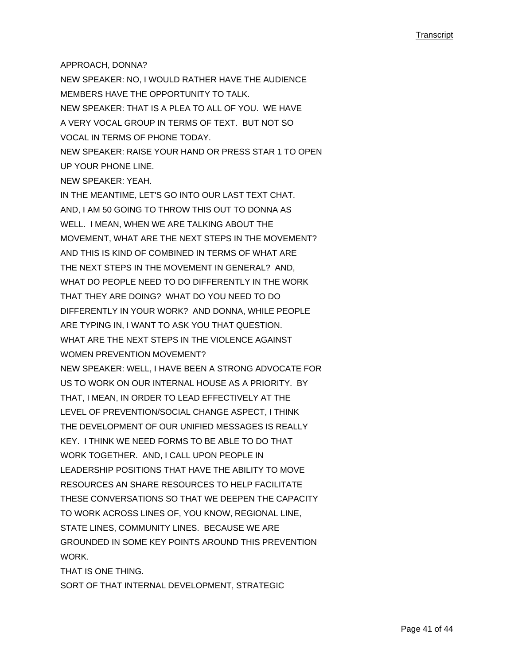#### APPROACH, DONNA?

NEW SPEAKER: NO, I WOULD RATHER HAVE THE AUDIENCE MEMBERS HAVE THE OPPORTUNITY TO TALK. NEW SPEAKER: THAT IS A PLEA TO ALL OF YOU. WE HAVE A VERY VOCAL GROUP IN TERMS OF TEXT. BUT NOT SO VOCAL IN TERMS OF PHONE TODAY. NEW SPEAKER: RAISE YOUR HAND OR PRESS STAR 1 TO OPEN

UP YOUR PHONE LINE. NEW SPEAKER: YEAH.

IN THE MEANTIME, LET'S GO INTO OUR LAST TEXT CHAT. AND, I AM 50 GOING TO THROW THIS OUT TO DONNA AS WELL. I MEAN, WHEN WE ARE TALKING ABOUT THE MOVEMENT, WHAT ARE THE NEXT STEPS IN THE MOVEMENT? AND THIS IS KIND OF COMBINED IN TERMS OF WHAT ARE THE NEXT STEPS IN THE MOVEMENT IN GENERAL? AND, WHAT DO PEOPLE NEED TO DO DIFFERENTLY IN THE WORK THAT THEY ARE DOING? WHAT DO YOU NEED TO DO DIFFERENTLY IN YOUR WORK? AND DONNA, WHILE PEOPLE ARE TYPING IN, I WANT TO ASK YOU THAT QUESTION. WHAT ARE THE NEXT STEPS IN THE VIOLENCE AGAINST WOMEN PREVENTION MOVEMENT? NEW SPEAKER: WELL, I HAVE BEEN A STRONG ADVOCATE FOR US TO WORK ON OUR INTERNAL HOUSE AS A PRIORITY. BY THAT, I MEAN, IN ORDER TO LEAD EFFECTIVELY AT THE LEVEL OF PREVENTION/SOCIAL CHANGE ASPECT, I THINK THE DEVELOPMENT OF OUR UNIFIED MESSAGES IS REALLY KEY. I THINK WE NEED FORMS TO BE ABLE TO DO THAT WORK TOGETHER. AND, I CALL UPON PEOPLE IN LEADERSHIP POSITIONS THAT HAVE THE ABILITY TO MOVE RESOURCES AN SHARE RESOURCES TO HELP FACILITATE THESE CONVERSATIONS SO THAT WE DEEPEN THE CAPACITY TO WORK ACROSS LINES OF, YOU KNOW, REGIONAL LINE, STATE LINES, COMMUNITY LINES. BECAUSE WE ARE GROUNDED IN SOME KEY POINTS AROUND THIS PREVENTION **WORK** 

THAT IS ONE THING.

SORT OF THAT INTERNAL DEVELOPMENT, STRATEGIC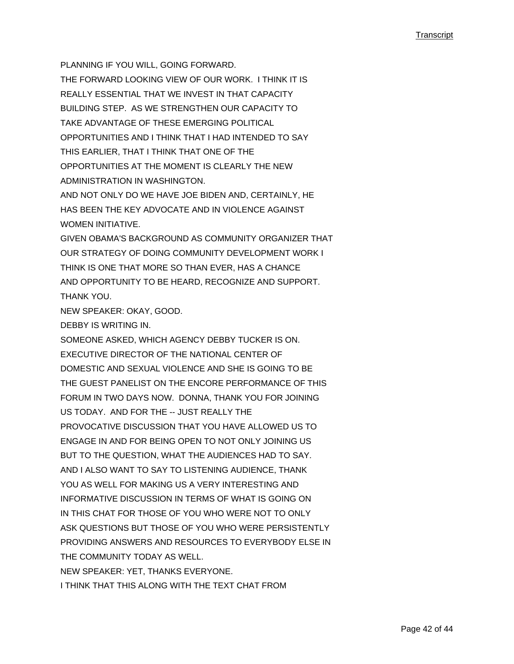PLANNING IF YOU WILL, GOING FORWARD. THE FORWARD LOOKING VIEW OF OUR WORK. I THINK IT IS REALLY ESSENTIAL THAT WE INVEST IN THAT CAPACITY BUILDING STEP. AS WE STRENGTHEN OUR CAPACITY TO TAKE ADVANTAGE OF THESE EMERGING POLITICAL OPPORTUNITIES AND I THINK THAT I HAD INTENDED TO SAY THIS EARLIER, THAT I THINK THAT ONE OF THE OPPORTUNITIES AT THE MOMENT IS CLEARLY THE NEW ADMINISTRATION IN WASHINGTON.

AND NOT ONLY DO WE HAVE JOE BIDEN AND, CERTAINLY, HE HAS BEEN THE KEY ADVOCATE AND IN VIOLENCE AGAINST WOMEN INITIATIVE

GIVEN OBAMA'S BACKGROUND AS COMMUNITY ORGANIZER THAT OUR STRATEGY OF DOING COMMUNITY DEVELOPMENT WORK I THINK IS ONE THAT MORE SO THAN EVER, HAS A CHANCE AND OPPORTUNITY TO BE HEARD, RECOGNIZE AND SUPPORT. THANK YOU.

NEW SPEAKER: OKAY, GOOD.

DEBBY IS WRITING IN.

SOMEONE ASKED, WHICH AGENCY DEBBY TUCKER IS ON. EXECUTIVE DIRECTOR OF THE NATIONAL CENTER OF DOMESTIC AND SEXUAL VIOLENCE AND SHE IS GOING TO BE THE GUEST PANELIST ON THE ENCORE PERFORMANCE OF THIS FORUM IN TWO DAYS NOW. DONNA, THANK YOU FOR JOINING US TODAY. AND FOR THE -- JUST REALLY THE PROVOCATIVE DISCUSSION THAT YOU HAVE ALLOWED US TO ENGAGE IN AND FOR BEING OPEN TO NOT ONLY JOINING US BUT TO THE QUESTION, WHAT THE AUDIENCES HAD TO SAY. AND I ALSO WANT TO SAY TO LISTENING AUDIENCE, THANK YOU AS WELL FOR MAKING US A VERY INTERESTING AND INFORMATIVE DISCUSSION IN TERMS OF WHAT IS GOING ON IN THIS CHAT FOR THOSE OF YOU WHO WERE NOT TO ONLY ASK QUESTIONS BUT THOSE OF YOU WHO WERE PERSISTENTLY PROVIDING ANSWERS AND RESOURCES TO EVERYBODY ELSE IN THE COMMUNITY TODAY AS WELL. NEW SPEAKER: YET, THANKS EVERYONE. I THINK THAT THIS ALONG WITH THE TEXT CHAT FROM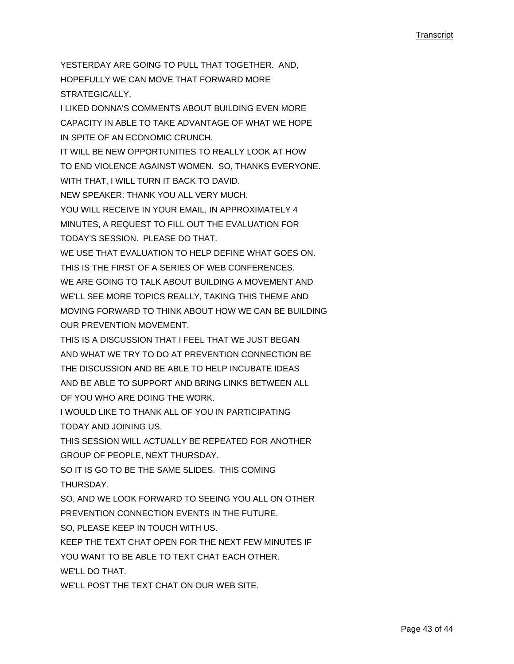YESTERDAY ARE GOING TO PULL THAT TOGETHER. AND, HOPEFULLY WE CAN MOVE THAT FORWARD MORE STRATEGICALLY. I LIKED DONNA'S COMMENTS ABOUT BUILDING EVEN MORE CAPACITY IN ABLE TO TAKE ADVANTAGE OF WHAT WE HOPE IN SPITE OF AN ECONOMIC CRUNCH. IT WILL BE NEW OPPORTUNITIES TO REALLY LOOK AT HOW TO END VIOLENCE AGAINST WOMEN. SO, THANKS EVERYONE. WITH THAT, I WILL TURN IT BACK TO DAVID. NEW SPEAKER: THANK YOU ALL VERY MUCH. YOU WILL RECEIVE IN YOUR EMAIL, IN APPROXIMATELY 4 MINUTES, A REQUEST TO FILL OUT THE EVALUATION FOR TODAY'S SESSION. PLEASE DO THAT. WE USE THAT EVALUATION TO HELP DEFINE WHAT GOES ON. THIS IS THE FIRST OF A SERIES OF WEB CONFERENCES. WE ARE GOING TO TALK ABOUT BUILDING A MOVEMENT AND WE'LL SEE MORE TOPICS REALLY, TAKING THIS THEME AND MOVING FORWARD TO THINK ABOUT HOW WE CAN BE BUILDING OUR PREVENTION MOVEMENT. THIS IS A DISCUSSION THAT I FEEL THAT WE JUST BEGAN AND WHAT WE TRY TO DO AT PREVENTION CONNECTION BE THE DISCUSSION AND BE ABLE TO HELP INCUBATE IDEAS AND BE ABLE TO SUPPORT AND BRING LINKS BETWEEN ALL OF YOU WHO ARE DOING THE WORK. I WOULD LIKE TO THANK ALL OF YOU IN PARTICIPATING TODAY AND JOINING US. THIS SESSION WILL ACTUALLY BE REPEATED FOR ANOTHER GROUP OF PEOPLE, NEXT THURSDAY. SO IT IS GO TO BE THE SAME SLIDES. THIS COMING THURSDAY. SO, AND WE LOOK FORWARD TO SEEING YOU ALL ON OTHER PREVENTION CONNECTION EVENTS IN THE FUTURE. SO, PLEASE KEEP IN TOUCH WITH US. KEEP THE TEXT CHAT OPEN FOR THE NEXT FEW MINUTES IF YOU WANT TO BE ABLE TO TEXT CHAT EACH OTHER. WE'LL DO THAT. WE'LL POST THE TEXT CHAT ON OUR WEB SITE.